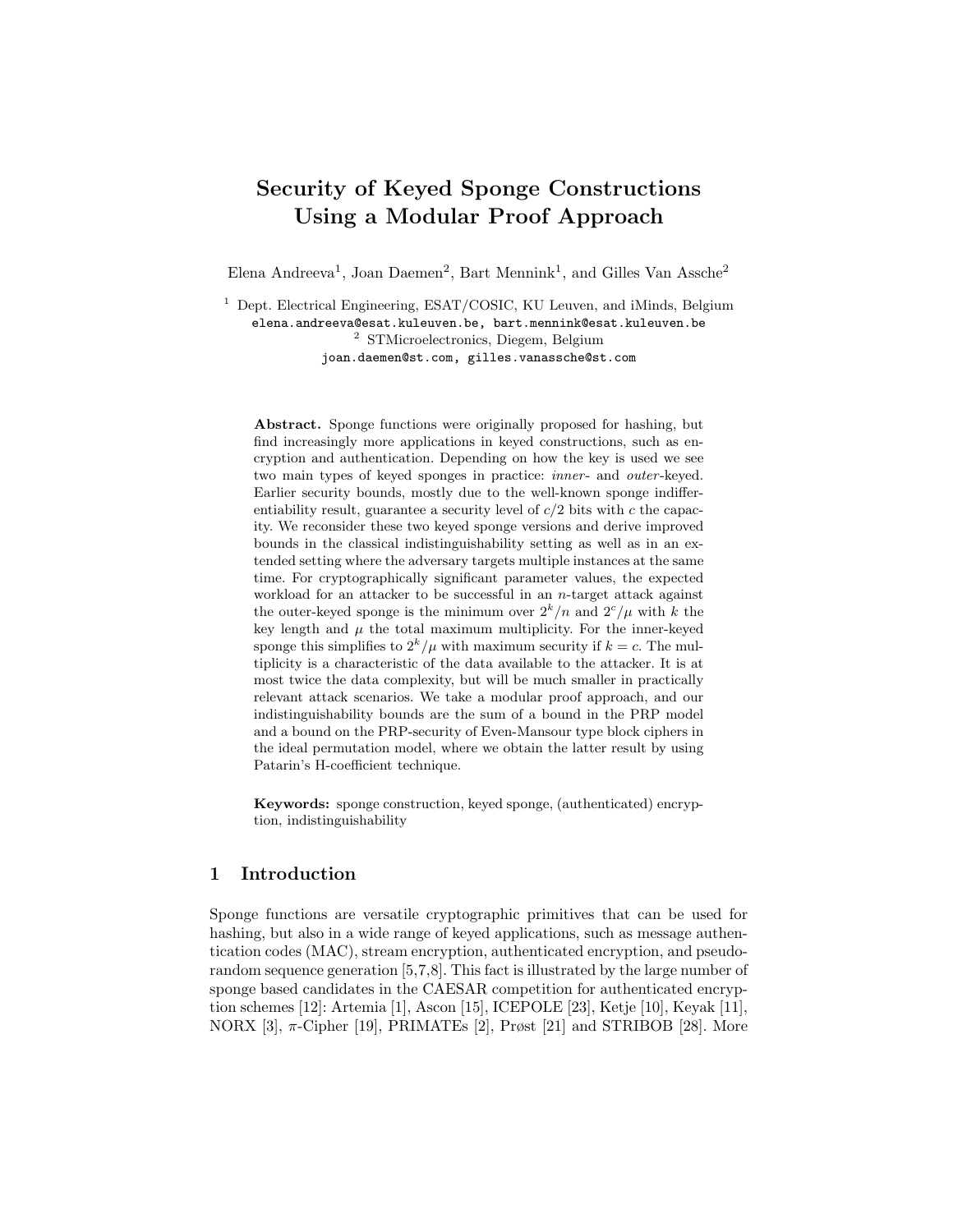# Security of Keyed Sponge Constructions Using a Modular Proof Approach

Elena Andreeva<sup>1</sup>, Joan Daemen<sup>2</sup>, Bart Mennink<sup>1</sup>, and Gilles Van Assche<sup>2</sup>

<sup>1</sup> Dept. Electrical Engineering, ESAT/COSIC, KU Leuven, and iMinds, Belgium elena.andreeva@esat.kuleuven.be, bart.mennink@esat.kuleuven.be <sup>2</sup> STMicroelectronics, Diegem, Belgium joan.daemen@st.com, gilles.vanassche@st.com

Abstract. Sponge functions were originally proposed for hashing, but find increasingly more applications in keyed constructions, such as encryption and authentication. Depending on how the key is used we see two main types of keyed sponges in practice: *inner*- and *outer*-keyed. Earlier security bounds, mostly due to the well-known sponge indifferentiability result, guarantee a security level of  $c/2$  bits with c the capacity. We reconsider these two keyed sponge versions and derive improved bounds in the classical indistinguishability setting as well as in an extended setting where the adversary targets multiple instances at the same time. For cryptographically significant parameter values, the expected workload for an attacker to be successful in an  $n$ -target attack against the outer-keyed sponge is the minimum over  $2^k/n$  and  $2^c/\mu$  with k the key length and  $\mu$  the total maximum multiplicity. For the inner-keyed sponge this simplifies to  $2^k/\mu$  with maximum security if  $k = c$ . The multiplicity is a characteristic of the data available to the attacker. It is at most twice the data complexity, but will be much smaller in practically relevant attack scenarios. We take a modular proof approach, and our indistinguishability bounds are the sum of a bound in the PRP model and a bound on the PRP-security of Even-Mansour type block ciphers in the ideal permutation model, where we obtain the latter result by using Patarin's H-coefficient technique.

Keywords: sponge construction, keyed sponge, (authenticated) encryption, indistinguishability

# 1 Introduction

Sponge functions are versatile cryptographic primitives that can be used for hashing, but also in a wide range of keyed applications, such as message authentication codes (MAC), stream encryption, authenticated encryption, and pseudorandom sequence generation [5,7,8]. This fact is illustrated by the large number of sponge based candidates in the CAESAR competition for authenticated encryption schemes [12]: Artemia [1], Ascon [15], ICEPOLE [23], Ketje [10], Keyak [11], NORX [3],  $\pi$ -Cipher [19], PRIMATEs [2], Prøst [21] and STRIBOB [28]. More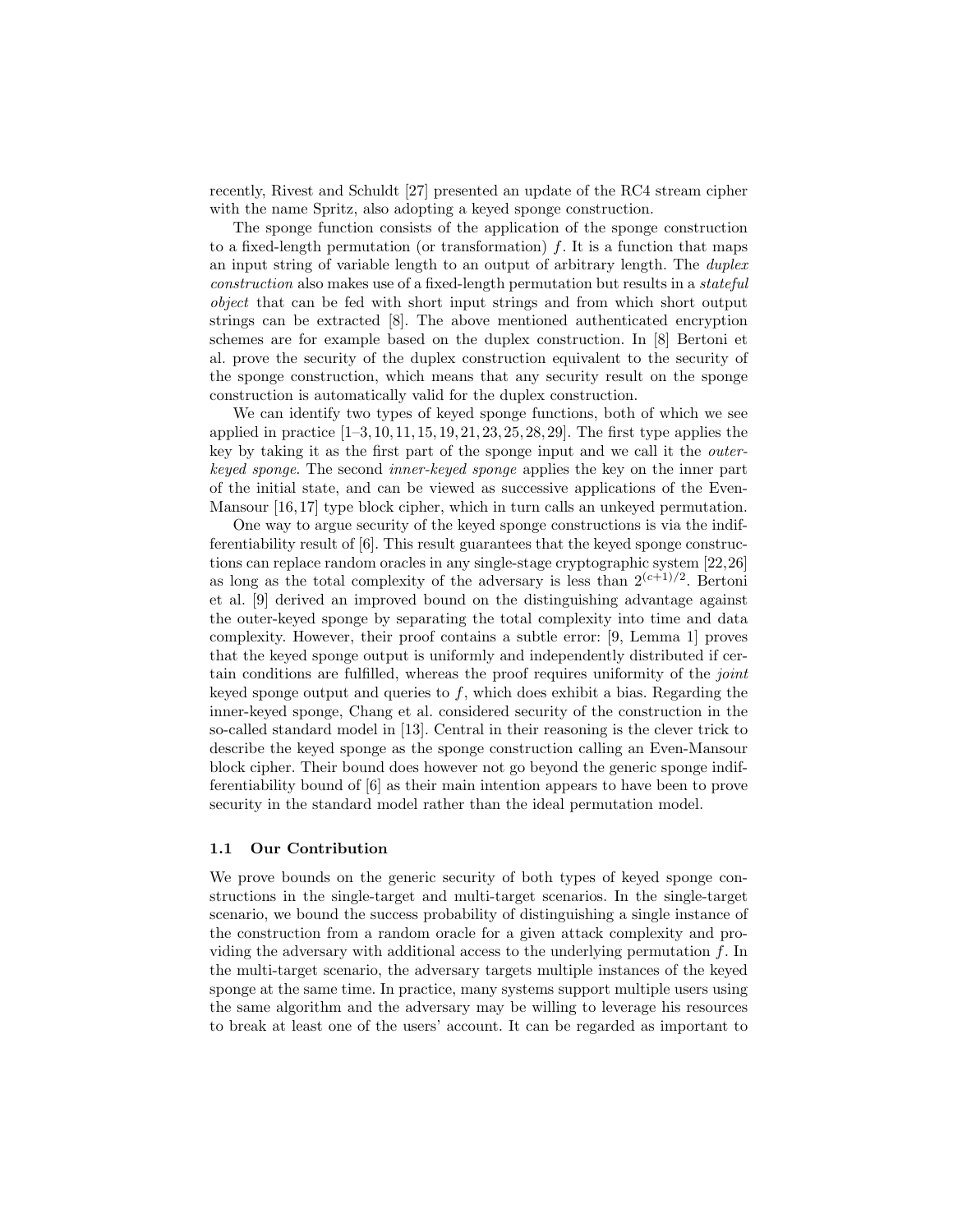recently, Rivest and Schuldt [27] presented an update of the RC4 stream cipher with the name Spritz, also adopting a keyed sponge construction.

The sponge function consists of the application of the sponge construction to a fixed-length permutation (or transformation)  $f$ . It is a function that maps an input string of variable length to an output of arbitrary length. The duplex construction also makes use of a fixed-length permutation but results in a stateful object that can be fed with short input strings and from which short output strings can be extracted [8]. The above mentioned authenticated encryption schemes are for example based on the duplex construction. In [8] Bertoni et al. prove the security of the duplex construction equivalent to the security of the sponge construction, which means that any security result on the sponge construction is automatically valid for the duplex construction.

We can identify two types of keyed sponge functions, both of which we see applied in practice  $[1-3, 10, 11, 15, 19, 21, 23, 25, 28, 29]$ . The first type applies the key by taking it as the first part of the sponge input and we call it the outerkeyed sponge. The second inner-keyed sponge applies the key on the inner part of the initial state, and can be viewed as successive applications of the Even-Mansour [16, 17] type block cipher, which in turn calls an unkeyed permutation.

One way to argue security of the keyed sponge constructions is via the indifferentiability result of  $[6]$ . This result guarantees that the keyed sponge constructions can replace random oracles in any single-stage cryptographic system [22,26] as long as the total complexity of the adversary is less than  $2^{(c+1)/2}$ . Bertoni et al. [9] derived an improved bound on the distinguishing advantage against the outer-keyed sponge by separating the total complexity into time and data complexity. However, their proof contains a subtle error: [9, Lemma 1] proves that the keyed sponge output is uniformly and independently distributed if certain conditions are fulfilled, whereas the proof requires uniformity of the *joint* keyed sponge output and queries to  $f$ , which does exhibit a bias. Regarding the inner-keyed sponge, Chang et al. considered security of the construction in the so-called standard model in [13]. Central in their reasoning is the clever trick to describe the keyed sponge as the sponge construction calling an Even-Mansour block cipher. Their bound does however not go beyond the generic sponge indifferentiability bound of [6] as their main intention appears to have been to prove security in the standard model rather than the ideal permutation model.

### 1.1 Our Contribution

We prove bounds on the generic security of both types of keyed sponge constructions in the single-target and multi-target scenarios. In the single-target scenario, we bound the success probability of distinguishing a single instance of the construction from a random oracle for a given attack complexity and providing the adversary with additional access to the underlying permutation f. In the multi-target scenario, the adversary targets multiple instances of the keyed sponge at the same time. In practice, many systems support multiple users using the same algorithm and the adversary may be willing to leverage his resources to break at least one of the users' account. It can be regarded as important to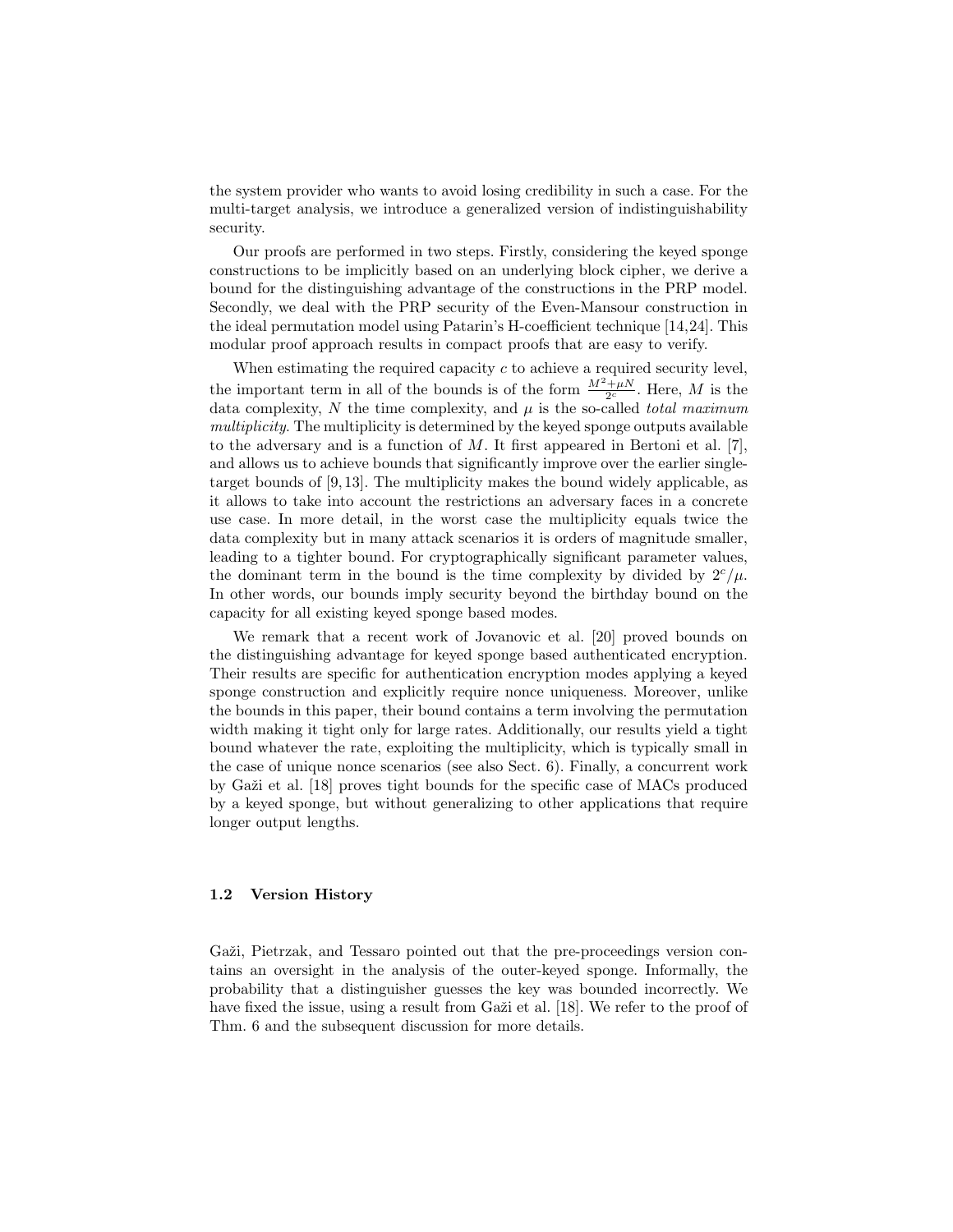the system provider who wants to avoid losing credibility in such a case. For the multi-target analysis, we introduce a generalized version of indistinguishability security.

Our proofs are performed in two steps. Firstly, considering the keyed sponge constructions to be implicitly based on an underlying block cipher, we derive a bound for the distinguishing advantage of the constructions in the PRP model. Secondly, we deal with the PRP security of the Even-Mansour construction in the ideal permutation model using Patarin's H-coefficient technique [14,24]. This modular proof approach results in compact proofs that are easy to verify.

When estimating the required capacity  $c$  to achieve a required security level, the important term in all of the bounds is of the form  $\frac{M^2 + \mu N}{2^c}$ . Here, M is the data complexity, N the time complexity, and  $\mu$  is the so-called total maximum multiplicity. The multiplicity is determined by the keyed sponge outputs available to the adversary and is a function of  $M$ . It first appeared in Bertoni et al. [7], and allows us to achieve bounds that significantly improve over the earlier singletarget bounds of [9, 13]. The multiplicity makes the bound widely applicable, as it allows to take into account the restrictions an adversary faces in a concrete use case. In more detail, in the worst case the multiplicity equals twice the data complexity but in many attack scenarios it is orders of magnitude smaller, leading to a tighter bound. For cryptographically significant parameter values, the dominant term in the bound is the time complexity by divided by  $2^c/\mu$ . In other words, our bounds imply security beyond the birthday bound on the capacity for all existing keyed sponge based modes.

We remark that a recent work of Jovanovic et al. [20] proved bounds on the distinguishing advantage for keyed sponge based authenticated encryption. Their results are specific for authentication encryption modes applying a keyed sponge construction and explicitly require nonce uniqueness. Moreover, unlike the bounds in this paper, their bound contains a term involving the permutation width making it tight only for large rates. Additionally, our results yield a tight bound whatever the rate, exploiting the multiplicity, which is typically small in the case of unique nonce scenarios (see also Sect. 6). Finally, a concurrent work by Gaži et al. [18] proves tight bounds for the specific case of MACs produced by a keyed sponge, but without generalizing to other applications that require longer output lengths.

#### 1.2 Version History

Gaži, Pietrzak, and Tessaro pointed out that the pre-proceedings version contains an oversight in the analysis of the outer-keyed sponge. Informally, the probability that a distinguisher guesses the key was bounded incorrectly. We have fixed the issue, using a result from Gaži et al. [18]. We refer to the proof of Thm. 6 and the subsequent discussion for more details.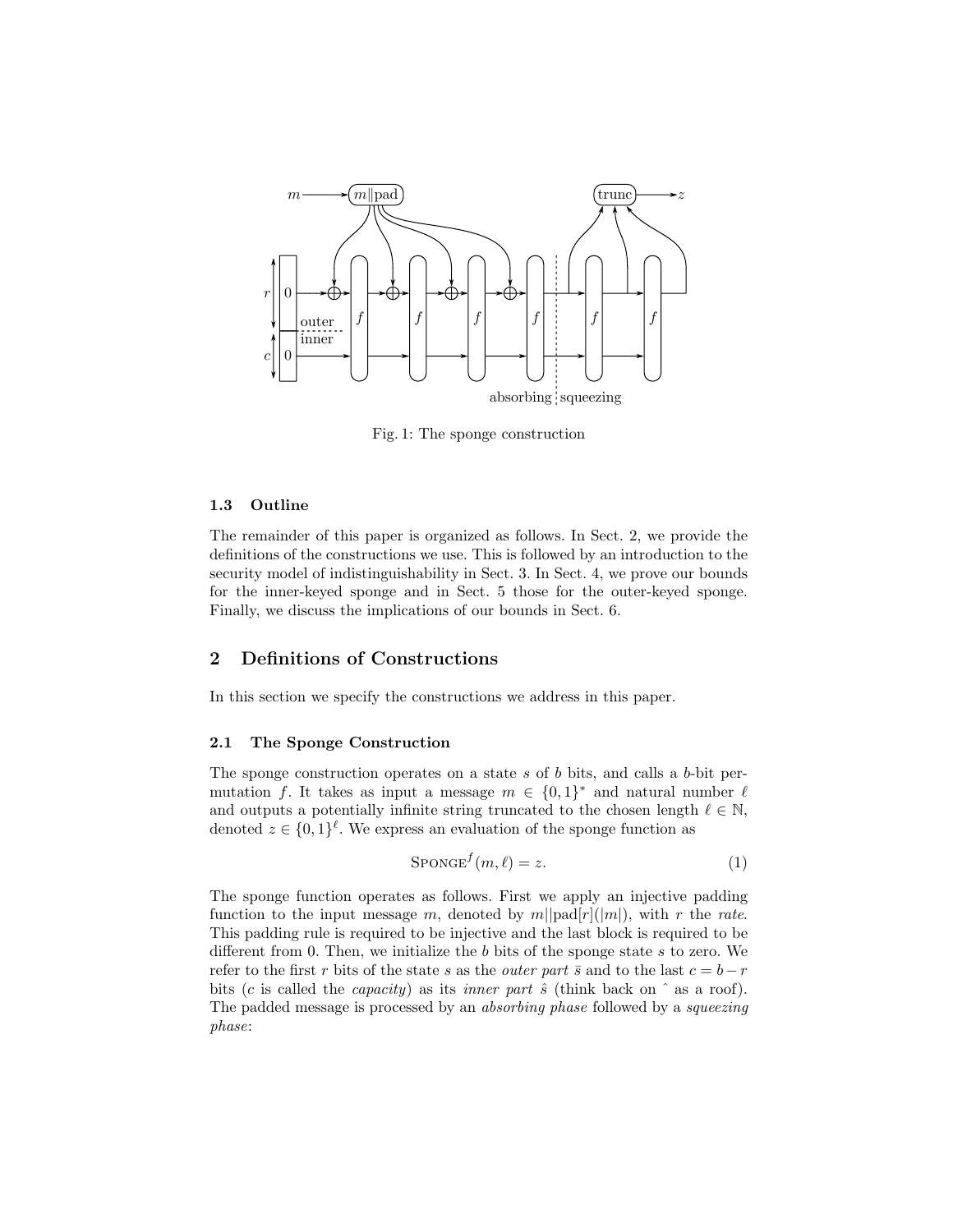

Fig. 1: The sponge construction

# 1.3 Outline

The remainder of this paper is organized as follows. In Sect. 2, we provide the definitions of the constructions we use. This is followed by an introduction to the security model of indistinguishability in Sect. 3. In Sect. 4, we prove our bounds for the inner-keyed sponge and in Sect. 5 those for the outer-keyed sponge. Finally, we discuss the implications of our bounds in Sect. 6.

# 2 Definitions of Constructions

In this section we specify the constructions we address in this paper.

### 2.1 The Sponge Construction

The sponge construction operates on a state s of b bits, and calls a b-bit permutation f. It takes as input a message  $m \in \{0,1\}^*$  and natural number  $\ell$ and outputs a potentially infinite string truncated to the chosen length  $\ell \in \mathbb{N}$ , denoted  $z \in \{0,1\}^{\ell}$ . We express an evaluation of the sponge function as

$$
SPONGEf(m, l) = z.
$$
 (1)

The sponge function operates as follows. First we apply an injective padding function to the input message m, denoted by  $m||pad[r](|m|)$ , with r the rate. This padding rule is required to be injective and the last block is required to be different from 0. Then, we initialize the  $b$  bits of the sponge state  $s$  to zero. We refer to the first r bits of the state s as the *outer part*  $\bar{s}$  and to the last  $c = b - r$ bits (c is called the *capacity*) as its *inner part*  $\hat{s}$  (think back on  $\hat{a}$  as a roof). The padded message is processed by an *absorbing phase* followed by a *squeezing* phase: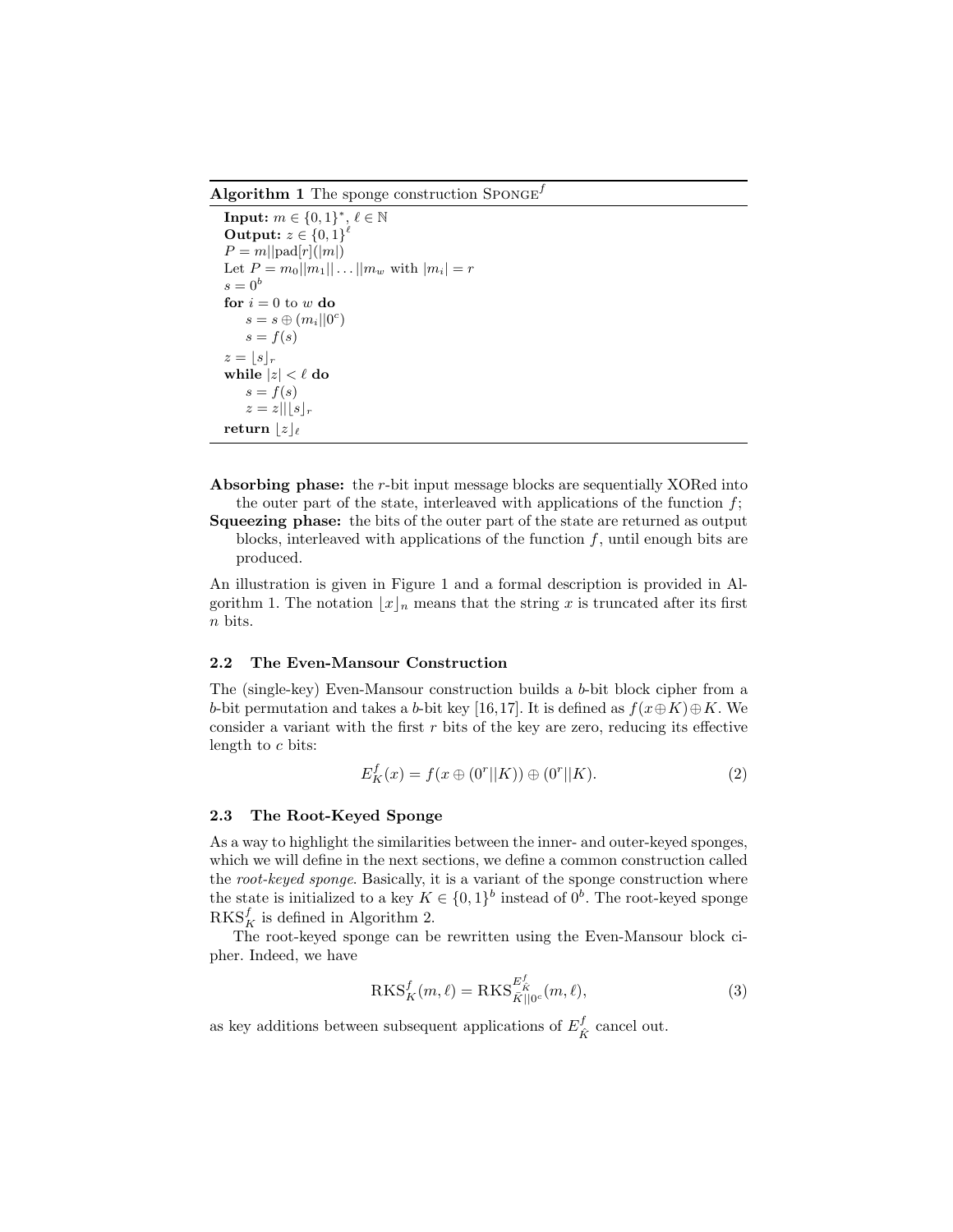**Algorithm 1** The sponge construction SPONGE<sup>j</sup>

```
Input: m \in \{0,1\}^*, \ell \in \mathbb{N}Output: z \in \{0,1\}^{\ell}P = m||pad[r](|m|)Let P = m_0 ||m_1|| \dots ||m_w with |m_i| = rs=0^bfor i = 0 to w do
 s = s \oplus (m_i || 0^c)s = f(s)z = |s|_rwhile |z| < \ell do
s = f(s)z = z||\lfloor s \rfloor_rreturn \lfloor z \rfloor_\ell
```
- Absorbing phase: the r-bit input message blocks are sequentially XORed into the outer part of the state, interleaved with applications of the function  $f$ ;
- Squeezing phase: the bits of the outer part of the state are returned as output blocks, interleaved with applications of the function  $f$ , until enough bits are produced.

An illustration is given in Figure 1 and a formal description is provided in Algorithm 1. The notation  $|x|_n$  means that the string x is truncated after its first n bits.

### 2.2 The Even-Mansour Construction

The (single-key) Even-Mansour construction builds a b-bit block cipher from a b-bit permutation and takes a b-bit key [16,17]. It is defined as  $f(x \oplus K) \oplus K$ . We consider a variant with the first  $r$  bits of the key are zero, reducing its effective length to  $c$  bits:

$$
E_K^f(x) = f(x \oplus (0^r || K)) \oplus (0^r || K).
$$
 (2)

### 2.3 The Root-Keyed Sponge

As a way to highlight the similarities between the inner- and outer-keyed sponges, which we will define in the next sections, we define a common construction called the root-keyed sponge. Basically, it is a variant of the sponge construction where the state is initialized to a key  $K \in \{0,1\}^b$  instead of  $0^b$ . The root-keyed sponge  $RKS<sub>K</sub><sup>f</sup>$  is defined in Algorithm 2.

The root-keyed sponge can be rewritten using the Even-Mansour block cipher. Indeed, we have

$$
RKS_{K}^{f}(m,\ell) = RKS_{\tilde{K}\parallel 0^c}^{E_{\tilde{K}}^{f}}(m,\ell),
$$
\n(3)

as key additions between subsequent applications of  $E_{\hat{K}}^{f}$  cancel out.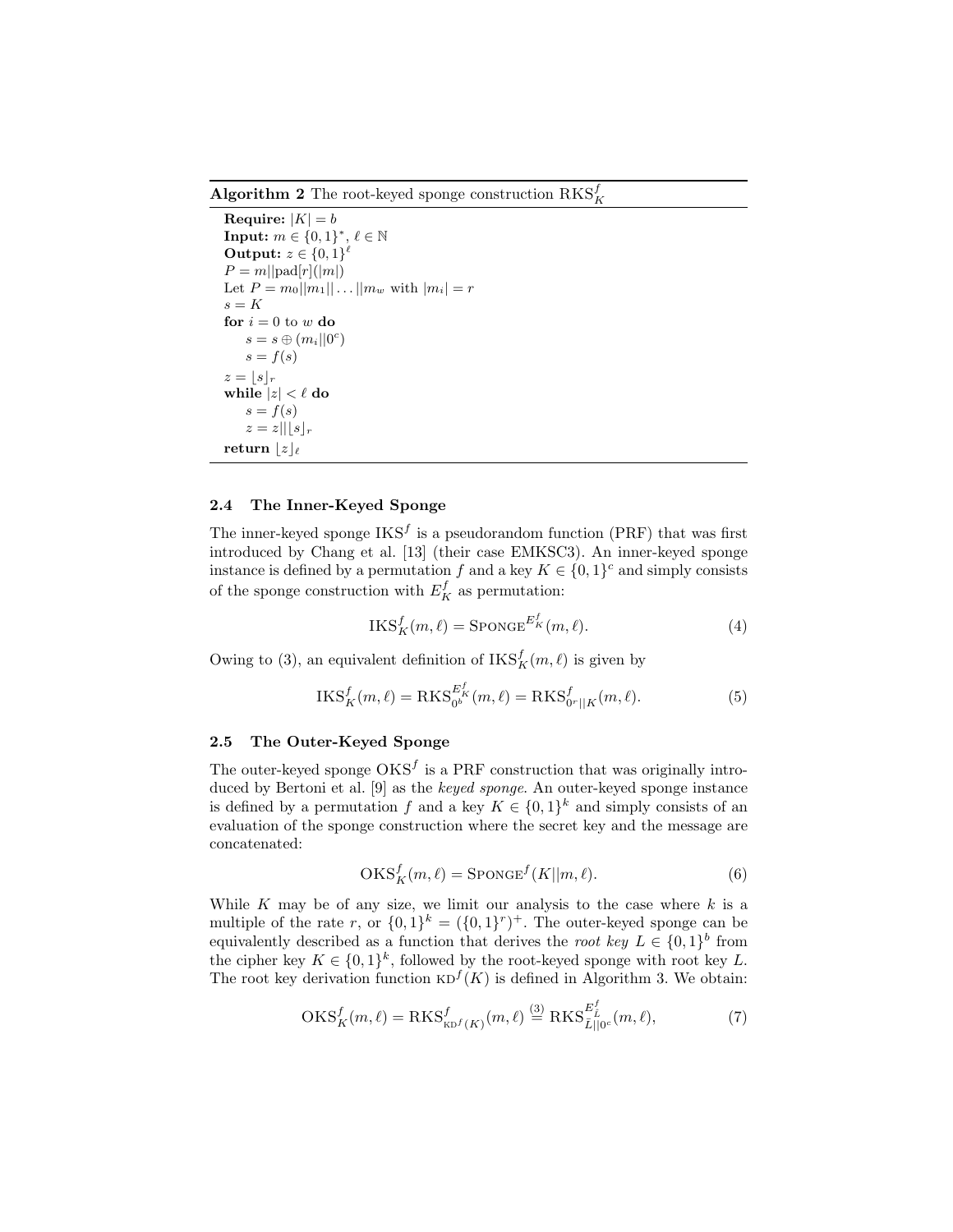Algorithm 2 The root-keyed sponge construction  $\operatorname{RKS}^f_K$ 

```
Require: |K| = bInput: m \in \{0,1\}^*, \ell \in \mathbb{N}Output: z \in \{0,1\}^{\ell}P = m||pad[r](|m|)Let P = m_0 ||m_1|| \dots ||m_w with |m_i| = rs = Kfor i = 0 to w do
 s = s \oplus (m_i || 0^c)s = f(s)z = \lfloor s \rfloor_rwhile |z| < \ell do
s = f(s)z = z \mid \mid \lfloor s \rfloor_rreturn |z|_{\ell}
```
# 2.4 The Inner-Keyed Sponge

The inner-keyed sponge  $IKS<sup>f</sup>$  is a pseudorandom function (PRF) that was first introduced by Chang et al. [13] (their case EMKSC3). An inner-keyed sponge instance is defined by a permutation f and a key  $K \in \{0,1\}^c$  and simply consists of the sponge construction with  $E_K^f$  as permutation:

$$
\text{IKS}_{K}^{f}(m,\ell) = \text{Sponge}^{E_{K}^{f}}(m,\ell). \tag{4}
$$

Owing to (3), an equivalent definition of  $\operatorname{IKS}^f_K(m, \ell)$  is given by

$$
IKS_{K}^{f}(m,\ell) = RKS_{0^{b}}^{E_{K}^{f}}(m,\ell) = RKS_{0^{r}||K}^{f}(m,\ell).
$$
 (5)

# 2.5 The Outer-Keyed Sponge

The outer-keyed sponge  $OKS<sup>f</sup>$  is a PRF construction that was originally introduced by Bertoni et al. [9] as the keyed sponge. An outer-keyed sponge instance is defined by a permutation f and a key  $K \in \{0,1\}^k$  and simply consists of an evaluation of the sponge construction where the secret key and the message are concatenated:

$$
OKS_K^f(m,\ell) = S\text{PONGE}^f(K||m,\ell).
$$
 (6)

While K may be of any size, we limit our analysis to the case where  $k$  is a multiple of the rate r, or  $\{0,1\}^k = (\{0,1\}^r)^+$ . The outer-keyed sponge can be equivalently described as a function that derives the *root key*  $L \in \{0,1\}^b$  from the cipher key  $K \in \{0,1\}^k$ , followed by the root-keyed sponge with root key L. The root key derivation function  $KD^{f}(K)$  is defined in Algorithm 3. We obtain:

$$
\text{OKS}_{K}^{f}(m,\ell) = \text{RKS}_{\text{KD}^{f}(K)}^{f}(m,\ell) \stackrel{(3)}{=} \text{RKS}_{\bar{L}\parallel 0^{c}}^{E_{\bar{L}}^{f}}(m,\ell),\tag{7}
$$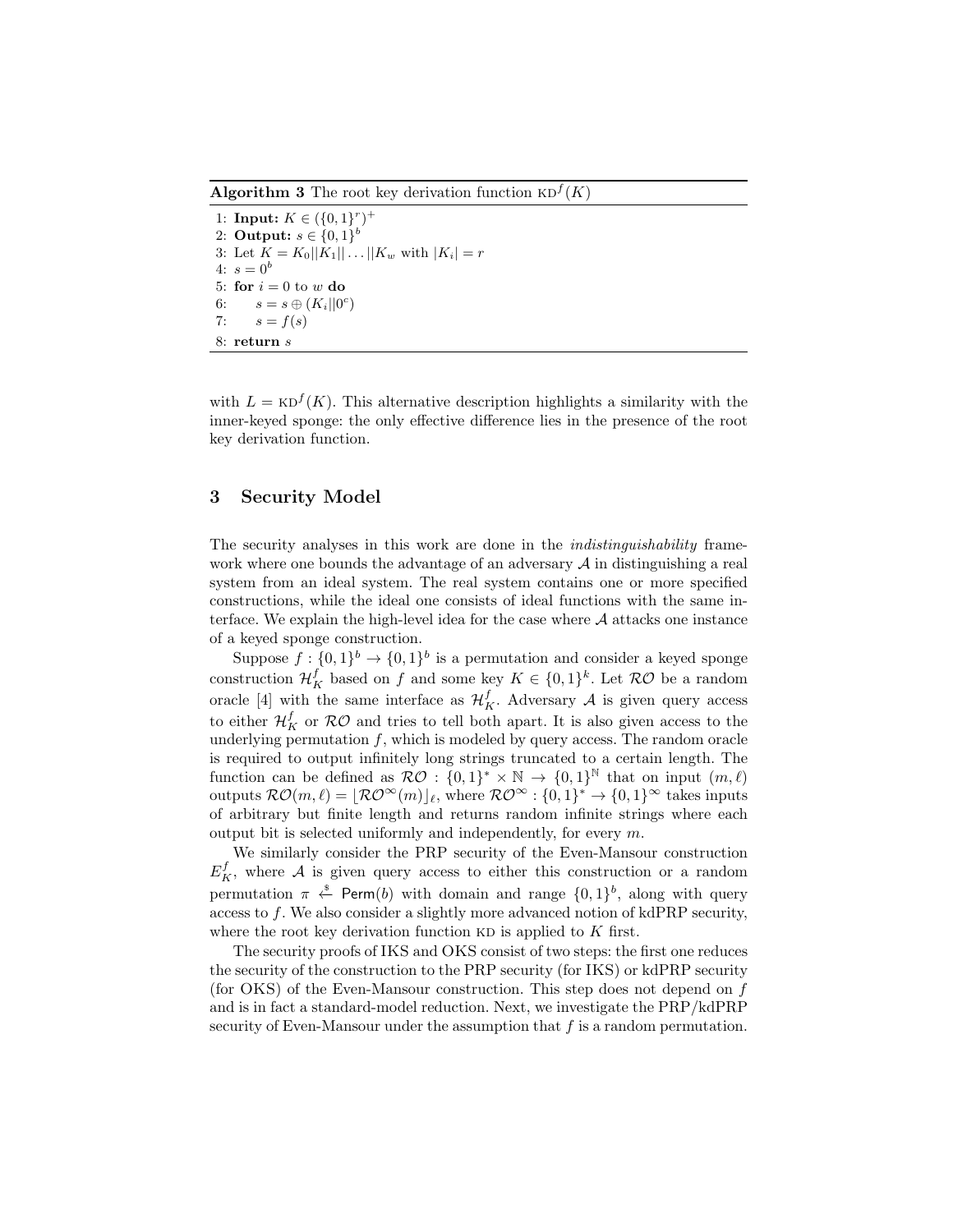**Algorithm 3** The root key derivation function  $KD<sup>f</sup>(K)$ 

1: **Input:**  $K \in (\{0,1\}^r)^+$ 2: Output:  $s \in \{0,1\}^b$ 3: Let  $K = K_0||K_1|| \dots ||K_w$  with  $|K_i| = r$ 4:  $s = 0^b$ 5: for  $i = 0$  to w do 6:  $s = s \oplus (K_i || 0^c)$ 7:  $s = f(s)$ 8: return s

with  $L = \text{KD}^f(K)$ . This alternative description highlights a similarity with the inner-keyed sponge: the only effective difference lies in the presence of the root key derivation function.

# 3 Security Model

The security analyses in this work are done in the indistinguishability framework where one bounds the advantage of an adversary  $A$  in distinguishing a real system from an ideal system. The real system contains one or more specified constructions, while the ideal one consists of ideal functions with the same interface. We explain the high-level idea for the case where  $A$  attacks one instance of a keyed sponge construction.

Suppose  $f: \{0,1\}^b \to \{0,1\}^b$  is a permutation and consider a keyed sponge construction  $\mathcal{H}_K^f$  based on f and some key  $K \in \{0,1\}^k$ . Let  $\mathcal{RO}$  be a random oracle [4] with the same interface as  $\mathcal{H}_K^f$ . Adversary  $\mathcal A$  is given query access to either  $\mathcal{H}_K^f$  or  $\mathcal{RO}$  and tries to tell both apart. It is also given access to the underlying permutation  $f$ , which is modeled by query access. The random oracle is required to output infinitely long strings truncated to a certain length. The function can be defined as  $\mathcal{RO}: \{0,1\}^* \times \mathbb{N} \to \{0,1\}^{\mathbb{N}}$  that on input  $(m,\ell)$ outputs  $\mathcal{RO}(m,\ell) = [\mathcal{RO}^{\infty}(m)]_{\ell}$ , where  $\mathcal{RO}^{\infty} : \{0, 1\}^* \to \{0, 1\}^{\infty}$  takes inputs of arbitrary but finite length and returns random infinite strings where each output bit is selected uniformly and independently, for every m.

We similarly consider the PRP security of the Even-Mansour construction  $E_K^f$ , where A is given query access to either this construction or a random permutation  $\pi \stackrel{s}{\leftarrow} \text{Perm}(b)$  with domain and range  $\{0,1\}^b$ , along with query access to f. We also consider a slightly more advanced notion of kdPRP security, where the root key derivation function  $KD$  is applied to  $K$  first.

The security proofs of IKS and OKS consist of two steps: the first one reduces the security of the construction to the PRP security (for IKS) or kdPRP security (for OKS) of the Even-Mansour construction. This step does not depend on f and is in fact a standard-model reduction. Next, we investigate the PRP/kdPRP security of Even-Mansour under the assumption that  $f$  is a random permutation.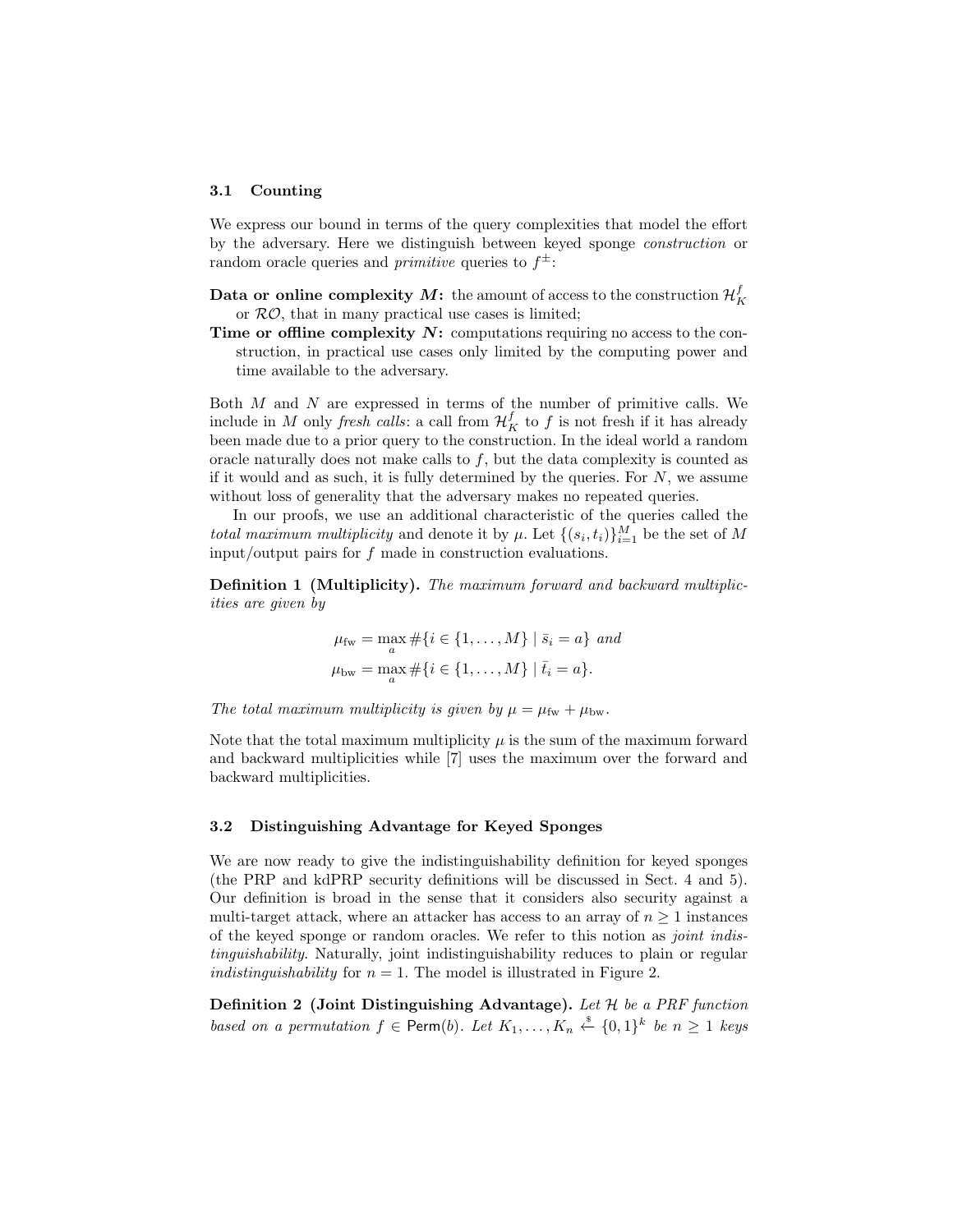#### 3.1 Counting

We express our bound in terms of the query complexities that model the effort by the adversary. Here we distinguish between keyed sponge construction or random oracle queries and *primitive* queries to  $f^{\pm}$ :

Data or online complexity  $M\colon$  the amount of access to the construction  $\mathcal{H}^f_K$ or  $\mathcal{RO}$ , that in many practical use cases is limited;

Time or offline complexity  $N$ : computations requiring no access to the construction, in practical use cases only limited by the computing power and time available to the adversary.

Both  $M$  and  $N$  are expressed in terms of the number of primitive calls. We include in M only *fresh calls*: a call from  $\mathcal{H}_K^f$  to f is not fresh if it has already been made due to a prior query to the construction. In the ideal world a random oracle naturally does not make calls to  $f$ , but the data complexity is counted as if it would and as such, it is fully determined by the queries. For  $N$ , we assume without loss of generality that the adversary makes no repeated queries.

In our proofs, we use an additional characteristic of the queries called the total maximum multiplicity and denote it by  $\mu$ . Let  $\{(s_i, t_i)\}_{i=1}^M$  be the set of M input/output pairs for f made in construction evaluations.

Definition 1 (Multiplicity). The maximum forward and backward multiplicities are given by

$$
\mu_{\text{fw}} = \max_{a} \# \{i \in \{1, ..., M\} \mid \bar{s}_i = a\} \text{ and}
$$
\n
$$
\mu_{\text{bw}} = \max_{a} \# \{i \in \{1, ..., M\} \mid \bar{t}_i = a\}.
$$

The total maximum multiplicity is given by  $\mu = \mu_{\text{fw}} + \mu_{\text{bw}}$ .

Note that the total maximum multiplicity  $\mu$  is the sum of the maximum forward and backward multiplicities while [7] uses the maximum over the forward and backward multiplicities.

#### 3.2 Distinguishing Advantage for Keyed Sponges

We are now ready to give the indistinguishability definition for keyed sponges (the PRP and kdPRP security definitions will be discussed in Sect. 4 and 5). Our definition is broad in the sense that it considers also security against a multi-target attack, where an attacker has access to an array of  $n \geq 1$  instances of the keyed sponge or random oracles. We refer to this notion as joint indistinguishability. Naturally, joint indistinguishability reduces to plain or regular indistinguishability for  $n = 1$ . The model is illustrated in Figure 2.

**Definition 2** (Joint Distinguishing Advantage). Let  $H$  be a PRF function based on a permutation  $f \in \text{Perm}(b)$ . Let  $K_1, \ldots, K_n \stackrel{s}{\leftarrow} \{0,1\}^k$  be  $n \geq 1$  keys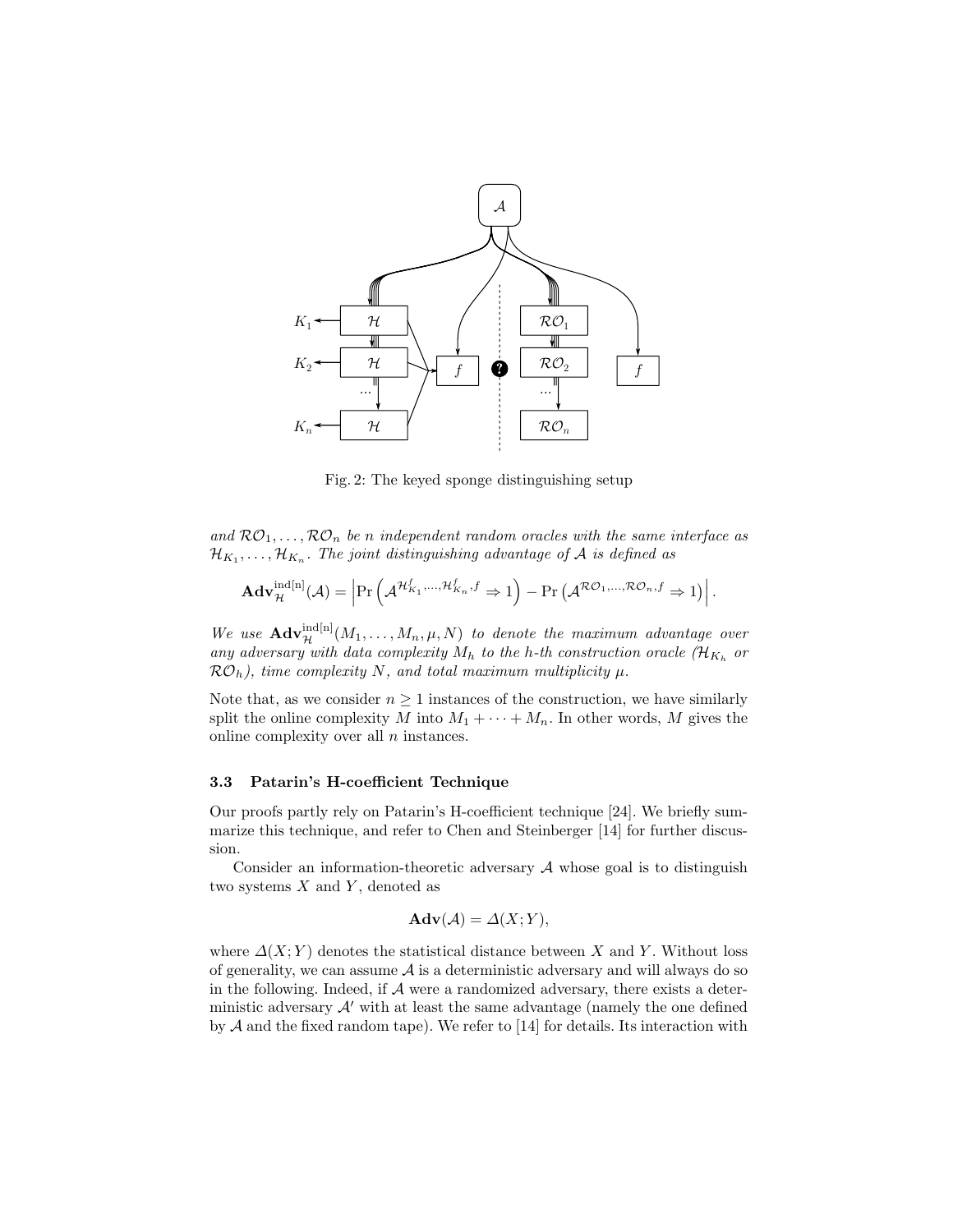

Fig. 2: The keyed sponge distinguishing setup

and  $\mathcal{RO}_1, \ldots, \mathcal{RO}_n$  be n independent random oracles with the same interface as  $\mathcal{H}_{K_1}, \ldots, \mathcal{H}_{K_n}.$  The joint distinguishing advantage of  $\mathcal A$  is defined as

$$
\mathbf{Adv}_{\mathcal{H}}^{\text{ind}[n]}(\mathcal{A}) = \left| \Pr \left( \mathcal{A}^{\mathcal{H}_{K_1}^f, \dots, \mathcal{H}_{K_n}^f, f} \Rightarrow 1 \right) - \Pr \left( \mathcal{A}^{\mathcal{RO}_1, \dots, \mathcal{RO}_n, f} \Rightarrow 1 \right) \right|.
$$

We use  $\mathbf{Adv}_{\mathcal{H}}^{\text{ind}[n]}(M_1,\ldots,M_n,\mu,N)$  to denote the maximum advantage over any adversary with data complexity  $M_h$  to the h-th construction oracle  $(\mathcal{H}_{K_h})$  or  $RO<sub>h</sub>$ ), time complexity N, and total maximum multiplicity  $\mu$ .

Note that, as we consider  $n \geq 1$  instances of the construction, we have similarly split the online complexity M into  $M_1 + \cdots + M_n$ . In other words, M gives the online complexity over all  $n$  instances.

### 3.3 Patarin's H-coefficient Technique

Our proofs partly rely on Patarin's H-coefficient technique [24]. We briefly summarize this technique, and refer to Chen and Steinberger [14] for further discussion.

Consider an information-theoretic adversary  $A$  whose goal is to distinguish two systems  $X$  and  $Y$ , denoted as

$$
Adv(\mathcal{A}) = \Delta(X;Y),
$$

where  $\Delta(X; Y)$  denotes the statistical distance between X and Y. Without loss of generality, we can assume  $A$  is a deterministic adversary and will always do so in the following. Indeed, if  $A$  were a randomized adversary, there exists a deterministic adversary  $A'$  with at least the same advantage (namely the one defined by  $A$  and the fixed random tape). We refer to [14] for details. Its interaction with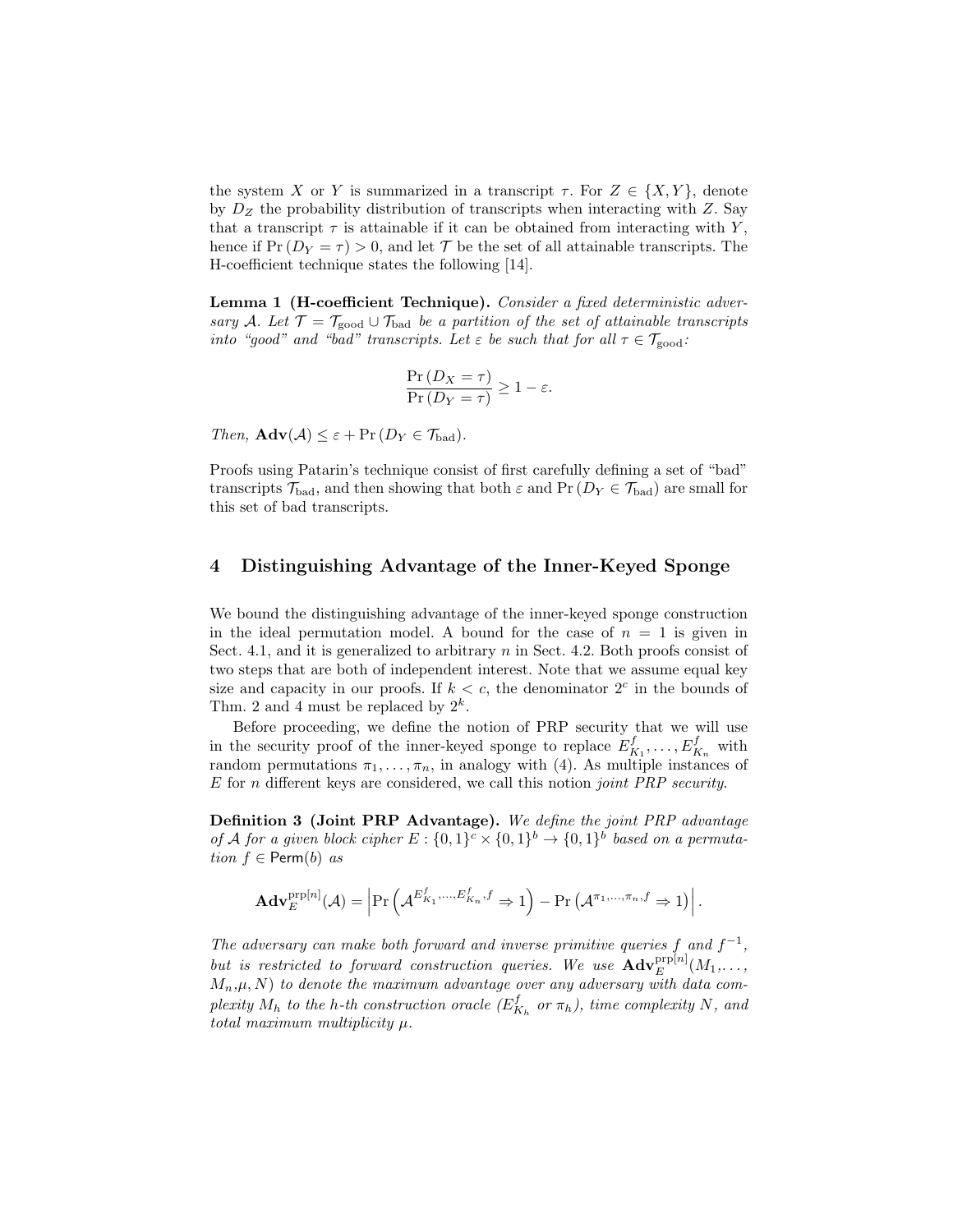the system X or Y is summarized in a transcript  $\tau$ . For  $Z \in \{X, Y\}$ , denote by  $D_Z$  the probability distribution of transcripts when interacting with  $Z$ . Say that a transcript  $\tau$  is attainable if it can be obtained from interacting with Y, hence if  $Pr(D_Y = \tau) > 0$ , and let  $\mathcal T$  be the set of all attainable transcripts. The H-coefficient technique states the following [14].

Lemma 1 (H-coefficient Technique). Consider a fixed deterministic adversary A. Let  $\mathcal{T} = \mathcal{T}_{\text{good}} \cup \mathcal{T}_{\text{bad}}$  be a partition of the set of attainable transcripts into "good" and "bad" transcripts. Let  $\varepsilon$  be such that for all  $\tau \in \mathcal{T}_{\text{good}}$ :

$$
\frac{\Pr(D_X = \tau)}{\Pr(D_Y = \tau)} \ge 1 - \varepsilon.
$$

Then,  $\mathbf{Adv}(\mathcal{A}) \leq \varepsilon + \Pr(D_Y \in \mathcal{T}_{bad}).$ 

Proofs using Patarin's technique consist of first carefully defining a set of "bad" transcripts  $\mathcal{T}_{bad}$ , and then showing that both  $\varepsilon$  and  $Pr(D_Y \in \mathcal{T}_{bad})$  are small for this set of bad transcripts.

# 4 Distinguishing Advantage of the Inner-Keyed Sponge

We bound the distinguishing advantage of the inner-keyed sponge construction in the ideal permutation model. A bound for the case of  $n = 1$  is given in Sect. 4.1, and it is generalized to arbitrary  $n$  in Sect. 4.2. Both proofs consist of two steps that are both of independent interest. Note that we assume equal key size and capacity in our proofs. If  $k < c$ , the denominator  $2^c$  in the bounds of Thm. 2 and 4 must be replaced by  $2^k$ .

Before proceeding, we define the notion of PRP security that we will use in the security proof of the inner-keyed sponge to replace  $E_{K_1}^f, \ldots, E_{K_n}^f$  with random permutations  $\pi_1, \ldots, \pi_n$ , in analogy with (4). As multiple instances of  $E$  for n different keys are considered, we call this notion *joint PRP security*.

Definition 3 (Joint PRP Advantage). We define the joint PRP advantage of A for a given block cipher  $E: \{0,1\}^c \times \{0,1\}^b \rightarrow \{0,1\}^b$  based on a permutation  $f \in \text{Perm}(b)$  as

$$
\mathbf{Adv}_{E}^{\text{prp}[n]}(\mathcal{A}) = \left| \Pr \left( \mathcal{A}^{E_{K_1}^f, \dots, E_{K_n}^f, f} \Rightarrow 1 \right) - \Pr \left( \mathcal{A}^{\pi_1, \dots, \pi_n, f} \Rightarrow 1 \right) \right|.
$$

The adversary can make both forward and inverse primitive queries f and  $f^{-1}$ , but is restricted to forward construction queries. We use  $\mathbf{Adv}_{E}^{\text{prp}[n]}(M_1, \ldots, M_k)$  $(M_n,\mu,N)$  to denote the maximum advantage over any adversary with data complexity  $M_h$  to the h-th construction oracle  $(E_{K_h}^f$  or  $\pi_h)$ , time complexity N, and total maximum multiplicity  $\mu$ .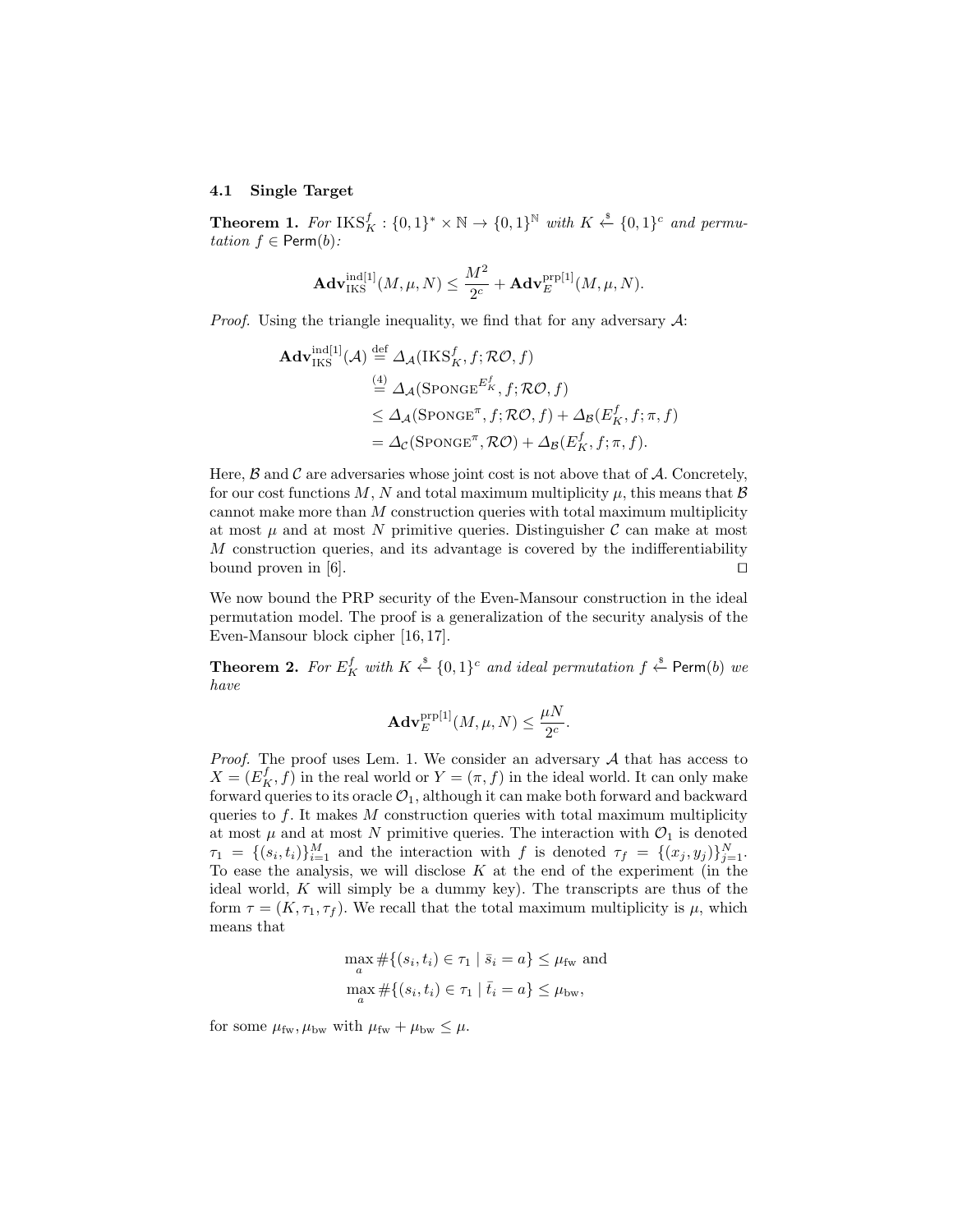### 4.1 Single Target

**Theorem 1.** For  $IKS_K^f : \{0,1\}^* \times \mathbb{N} \to \{0,1\}^{\mathbb{N}}$  with  $K \stackrel{\$}{\leftarrow} \{0,1\}^c$  and permutation  $f \in \text{Perm}(b)$ :

$$
\mathbf{Adv}_{\mathrm{IKS}}^{\mathrm{ind}[1]}(M,\mu,N) \leq \frac{M^2}{2^c} + \mathbf{Adv}_{E}^{\mathrm{prp}[1]}(M,\mu,N).
$$

*Proof.* Using the triangle inequality, we find that for any adversary  $\mathcal{A}$ :

$$
\begin{split} \mathbf{Adv}_{\mathrm{IRS}}^{\mathrm{ind}[1]}(\mathcal{A}) & \stackrel{\mathrm{def}}{=} \Delta_{\mathcal{A}}(\mathrm{IKS}_{K}^{f}, f; \mathcal{RO}, f) \\ & \stackrel{(4)}{=} \Delta_{\mathcal{A}}(\mathrm{SPONGE}^{E_{K}^{f}}, f; \mathcal{RO}, f) \\ &\leq \Delta_{\mathcal{A}}(\mathrm{SPONGE}^{\pi}, f; \mathcal{RO}, f) + \Delta_{\mathcal{B}}(E_{K}^{f}, f; \pi, f) \\ &= \Delta_{\mathcal{C}}(\mathrm{SPONGE}^{\pi}, \mathcal{RO}) + \Delta_{\mathcal{B}}(E_{K}^{f}, f; \pi, f). \end{split}
$$

Here,  $\beta$  and  $\beta$  are adversaries whose joint cost is not above that of  $\mathcal{A}$ . Concretely, for our cost functions M, N and total maximum multiplicity  $\mu$ , this means that  $\beta$ cannot make more than  $M$  construction queries with total maximum multiplicity at most  $\mu$  and at most N primitive queries. Distinguisher C can make at most M construction queries, and its advantage is covered by the indifferentiability bound proven in [6].  $\Box$ 

We now bound the PRP security of the Even-Mansour construction in the ideal permutation model. The proof is a generalization of the security analysis of the Even-Mansour block cipher [16, 17].

**Theorem 2.** For  $E_K^f$  with  $K \stackrel{\$}{\leftarrow} \{0,1\}^c$  and ideal permutation  $f \stackrel{\$}{\leftarrow}$  Perm $(b)$  we have

$$
\mathbf{Adv}_{E}^{\text{prp[1]}}(M, \mu, N) \leq \frac{\mu N}{2^{c}}.
$$

*Proof.* The proof uses Lem. 1. We consider an adversary  $A$  that has access to  $X = (E_K^f, f)$  in the real world or  $Y = (\pi, f)$  in the ideal world. It can only make forward queries to its oracle  $\mathcal{O}_1$ , although it can make both forward and backward queries to f. It makes  $M$  construction queries with total maximum multiplicity at most  $\mu$  and at most N primitive queries. The interaction with  $\mathcal{O}_1$  is denoted  $\tau_1 = \{(s_i, t_i)\}_{i=1}^M$  and the interaction with f is denoted  $\tau_f = \{(x_j, y_j)\}_{j=1}^N$ . To ease the analysis, we will disclose  $K$  at the end of the experiment (in the ideal world,  $K$  will simply be a dummy key). The transcripts are thus of the form  $\tau = (K, \tau_1, \tau_f)$ . We recall that the total maximum multiplicity is  $\mu$ , which means that

$$
\max_{a} \# \{ (s_i, t_i) \in \tau_1 \mid \bar{s}_i = a \} \le \mu_{\text{fw}} \text{ and}
$$

$$
\max_{a} \# \{ (s_i, t_i) \in \tau_1 \mid \bar{t}_i = a \} \le \mu_{\text{bw}},
$$

for some  $\mu_{\text{fw}}, \mu_{\text{bw}}$  with  $\mu_{\text{fw}} + \mu_{\text{bw}} \leq \mu$ .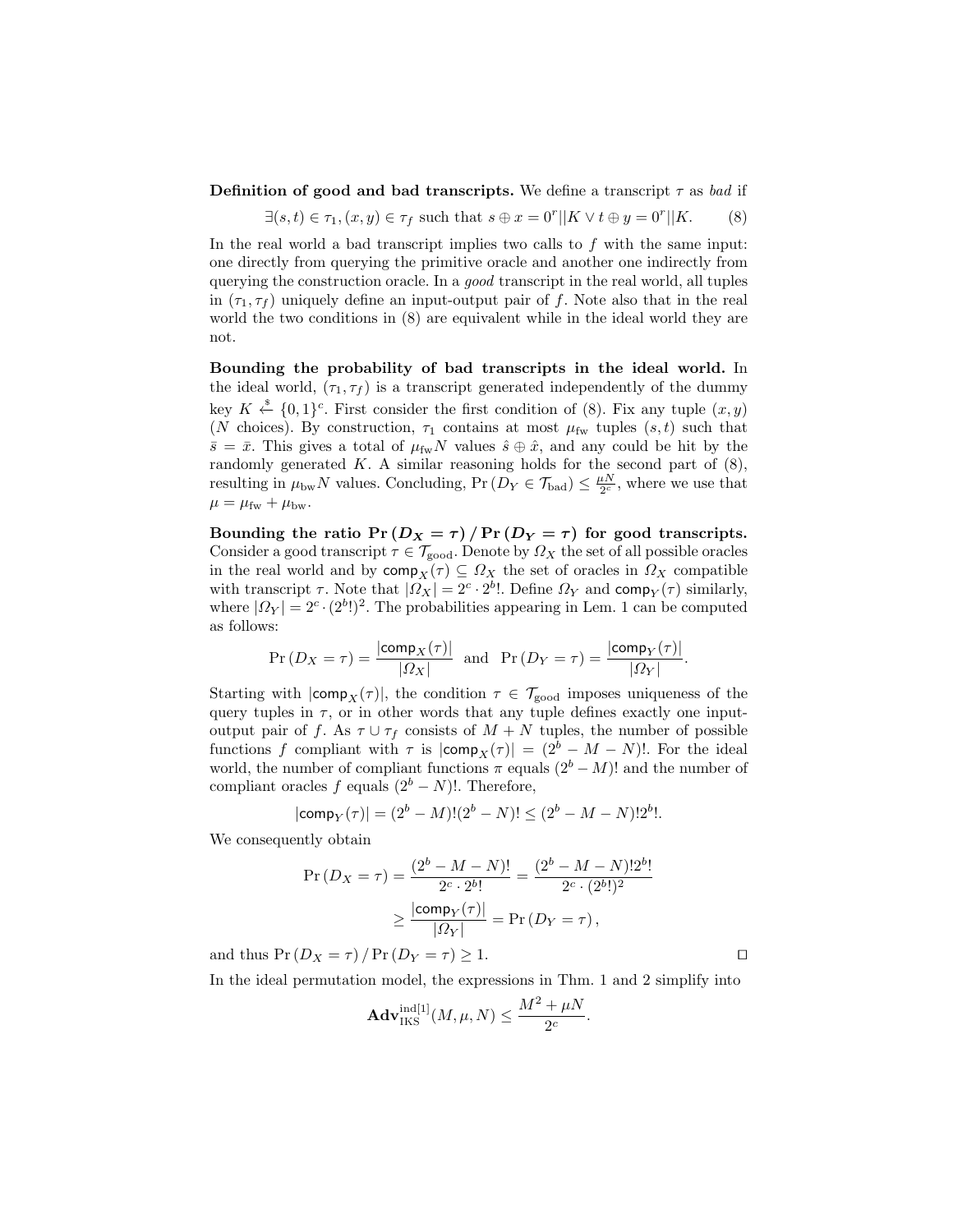**Definition of good and bad transcripts.** We define a transcript  $\tau$  as bad if

$$
\exists (s,t) \in \tau_1, (x,y) \in \tau_f \text{ such that } s \oplus x = 0^r || K \vee t \oplus y = 0^r || K.
$$
 (8)

In the real world a bad transcript implies two calls to  $f$  with the same input: one directly from querying the primitive oracle and another one indirectly from querying the construction oracle. In a good transcript in the real world, all tuples in  $(\tau_1, \tau_f)$  uniquely define an input-output pair of f. Note also that in the real world the two conditions in (8) are equivalent while in the ideal world they are not.

Bounding the probability of bad transcripts in the ideal world. In the ideal world,  $(\tau_1, \tau_f)$  is a transcript generated independently of the dummy key  $K \stackrel{\$}{\leftarrow} \{0,1\}^c$ . First consider the first condition of (8). Fix any tuple  $(x, y)$ (N choices). By construction,  $\tau_1$  contains at most  $\mu_{fw}$  tuples  $(s, t)$  such that  $\bar{s} = \bar{x}$ . This gives a total of  $\mu_{fw}N$  values  $\hat{s} \oplus \hat{x}$ , and any could be hit by the randomly generated  $K$ . A similar reasoning holds for the second part of  $(8)$ , resulting in  $\mu_{\text{bw}} N$  values. Concluding,  $Pr(D_Y \in \mathcal{T}_{bad}) \leq \frac{\mu N}{2^c}$ , where we use that  $\mu = \mu_{\text{fw}} + \mu_{\text{bw}}.$ 

Bounding the ratio  $Pr(D_x = \tau) / Pr(D_y = \tau)$  for good transcripts. Consider a good transcript  $\tau \in \mathcal{T}_{good}$ . Denote by  $\Omega_X$  the set of all possible oracles in the real world and by  $\text{comp}_X(\tau) \subseteq \Omega_X$  the set of oracles in  $\Omega_X$  compatible with transcript  $\tau$ . Note that  $|\Omega_X| = 2^c \cdot 2^b!$ . Define  $\Omega_Y$  and  $\text{comp}_Y(\tau)$  similarly, where  $|\Omega_Y| = 2^c \cdot (2^b!)^2$ . The probabilities appearing in Lem. 1 can be computed as follows:

$$
\Pr(D_X = \tau) = \frac{|\text{comp}_X(\tau)|}{|\Omega_X|} \text{ and } \Pr(D_Y = \tau) = \frac{|\text{comp}_Y(\tau)|}{|\Omega_Y|}.
$$

Starting with  $|comp_X(\tau)|$ , the condition  $\tau \in \mathcal{T}_{good}$  imposes uniqueness of the query tuples in  $\tau$ , or in other words that any tuple defines exactly one inputoutput pair of f. As  $\tau \cup \tau_f$  consists of  $M + N$  tuples, the number of possible functions f compliant with  $\tau$  is  $|\text{comp}_X(\tau)| = (2^b - M - N)!$ . For the ideal world, the number of compliant functions  $\pi$  equals  $(2^b - M)!$  and the number of compliant oracles f equals  $(2<sup>b</sup> - N)!$ . Therefore,

$$
|\text{comp}_Y(\tau)| = (2^b - M)!(2^b - N)! \le (2^b - M - N)!2^b!.
$$

We consequently obtain

$$
\Pr(D_X = \tau) = \frac{(2^b - M - N)!}{2^c \cdot 2^b!} = \frac{(2^b - M - N)! 2^b!}{2^c \cdot (2^b!)^2}
$$

$$
\geq \frac{|\text{comp}_Y(\tau)|}{|\Omega_Y|} = \Pr(D_Y = \tau),
$$

and thus  $Pr(D_X = \tau) / Pr(D_Y = \tau) \ge 1.$ 

In the ideal permutation model, the expressions in Thm. 1 and 2 simplify into

$$
\mathbf{Adv}_{\mathrm{IKS}}^{\mathrm{ind}[1]}(M,\mu,N) \le \frac{M^2 + \mu N}{2^c}.
$$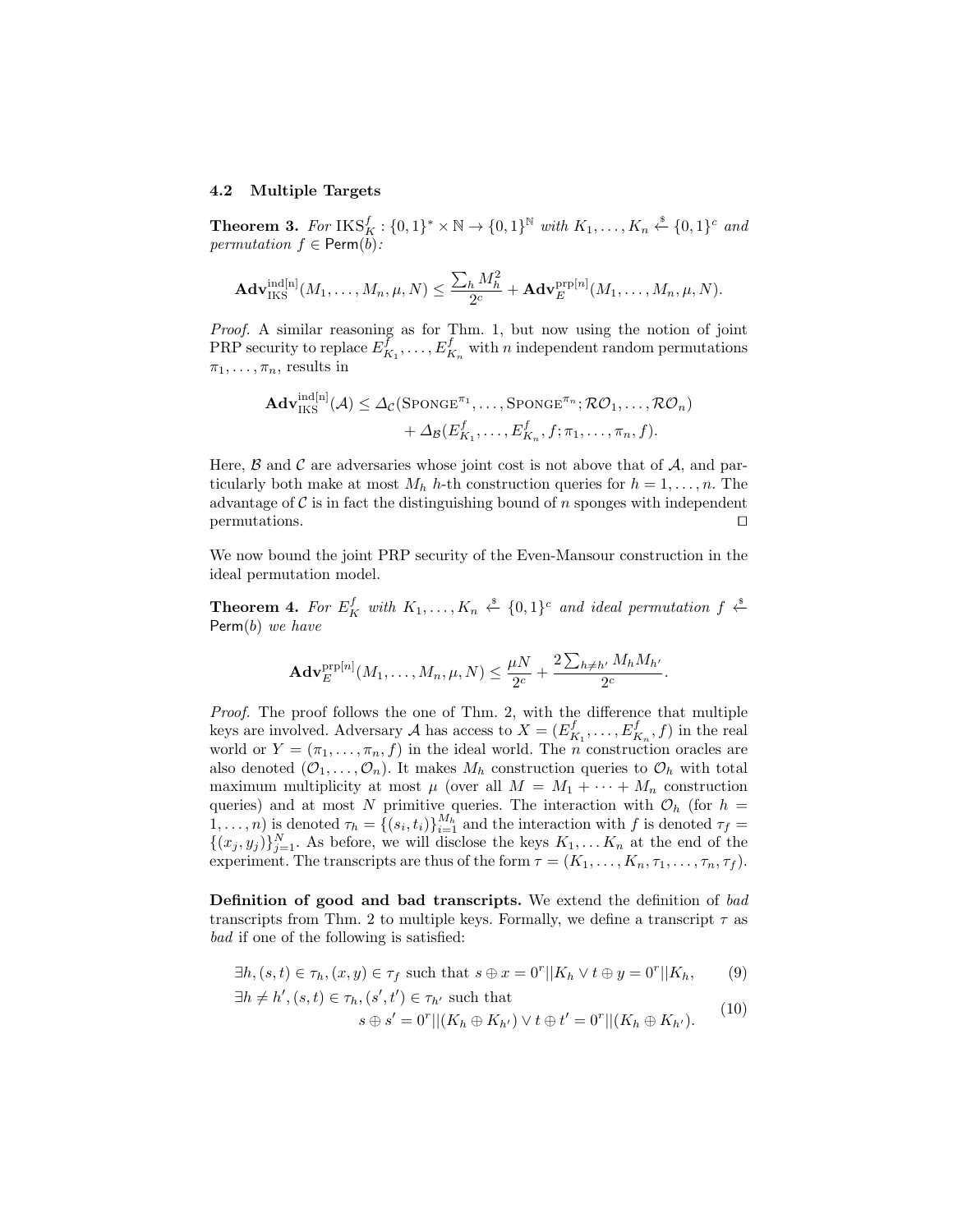### 4.2 Multiple Targets

**Theorem 3.** For  $IKS_K^f : \{0,1\}^* \times \mathbb{N} \to \{0,1\}^{\mathbb{N}}$  with  $K_1, \ldots, K_n \stackrel{s}{\leftarrow} \{0,1\}^c$  and permutation  $f \in \text{Perm}(\vec{b})$ :

$$
\mathbf{Adv}_{\mathrm{IKS}}^{\mathrm{ind}[n]}(M_1,\ldots,M_n,\mu,N) \leq \frac{\sum_h M_h^2}{2^c} + \mathbf{Adv}_{E}^{\mathrm{prp}[n]}(M_1,\ldots,M_n,\mu,N).
$$

Proof. A similar reasoning as for Thm. 1, but now using the notion of joint PRP security to replace  $E_{K_1}^f, \ldots, E_{K_n}^f$  with n independent random permutations  $\pi_1, \ldots, \pi_n$ , results in

$$
\mathbf{Adv}_{\mathrm{IKS}}^{\mathrm{ind}[n]}(\mathcal{A}) \leq \Delta_{\mathcal{C}}(\mathrm{SPONGE}^{\pi_1}, \dots, \mathrm{SPONGE}^{\pi_n}; \mathcal{RO}_1, \dots, \mathcal{RO}_n) + \Delta_{\mathcal{B}}(E_{K_1}^f, \dots, E_{K_n}^f, f; \pi_1, \dots, \pi_n, f).
$$

Here,  $\beta$  and  $\beta$  are adversaries whose joint cost is not above that of  $\mathcal{A}$ , and particularly both make at most  $M_h$  h-th construction queries for  $h = 1, \ldots, n$ . The advantage of  $\mathcal C$  is in fact the distinguishing bound of  $n$  sponges with independent  $\Box$  permutations.

We now bound the joint PRP security of the Even-Mansour construction in the ideal permutation model.

**Theorem 4.** For  $E_K^f$  with  $K_1, \ldots, K_n \stackrel{\hspace{0.1em}\mathsf{\scriptscriptstyle\$}}{\leftarrow} \{0,1\}^c$  and ideal permutation  $f \stackrel{\hspace{0.1em}\mathsf{\scriptscriptstyle\$}}{\leftarrow}$ Perm(b) we have

$$
\mathbf{Adv}_{E}^{\text{prp}[n]}(M_1,\ldots,M_n,\mu,N) \leq \frac{\mu N}{2^{c}} + \frac{2\sum_{h\neq h'}M_hM_{h'}}{2^{c}}.
$$

Proof. The proof follows the one of Thm. 2, with the difference that multiple keys are involved. Adversary A has access to  $X = (E_{K_1}^f, \ldots, E_{K_n}^f, f)$  in the real world or  $Y = (\pi_1, \ldots, \pi_n, f)$  in the ideal world. The *n* construction oracles are also denoted  $(\mathcal{O}_1, \ldots, \mathcal{O}_n)$ . It makes  $M_h$  construction queries to  $\mathcal{O}_h$  with total maximum multiplicity at most  $\mu$  (over all  $M = M_1 + \cdots + M_n$  construction queries) and at most N primitive queries. The interaction with  $\mathcal{O}_h$  (for  $h =$  $(1, \ldots, n)$  is denoted  $\tau_h = \{(s_i, t_i)\}_{i=1}^{M_h}$  and the interaction with f is denoted  $\tau_f =$  $\{(x_j, y_j)\}_{j=1}^N$ . As before, we will disclose the keys  $K_1, \ldots K_n$  at the end of the experiment. The transcripts are thus of the form  $\tau = (K_1, \ldots, K_n, \tau_1, \ldots, \tau_n, \tau_f)$ .

Definition of good and bad transcripts. We extend the definition of bad transcripts from Thm. 2 to multiple keys. Formally, we define a transcript  $\tau$  as bad if one of the following is satisfied:

$$
\exists h, (s, t) \in \tau_h, (x, y) \in \tau_f \text{ such that } s \oplus x = 0^r || K_h \vee t \oplus y = 0^r || K_h,
$$
 (9)

$$
\exists h \neq h', (s, t) \in \tau_h, (s', t') \in \tau_{h'} \text{ such that}
$$
  

$$
s \oplus s' = 0^r ||(K_h \oplus K_{h'}) \vee t \oplus t' = 0^r ||(K_h \oplus K_{h'}).
$$
 (10)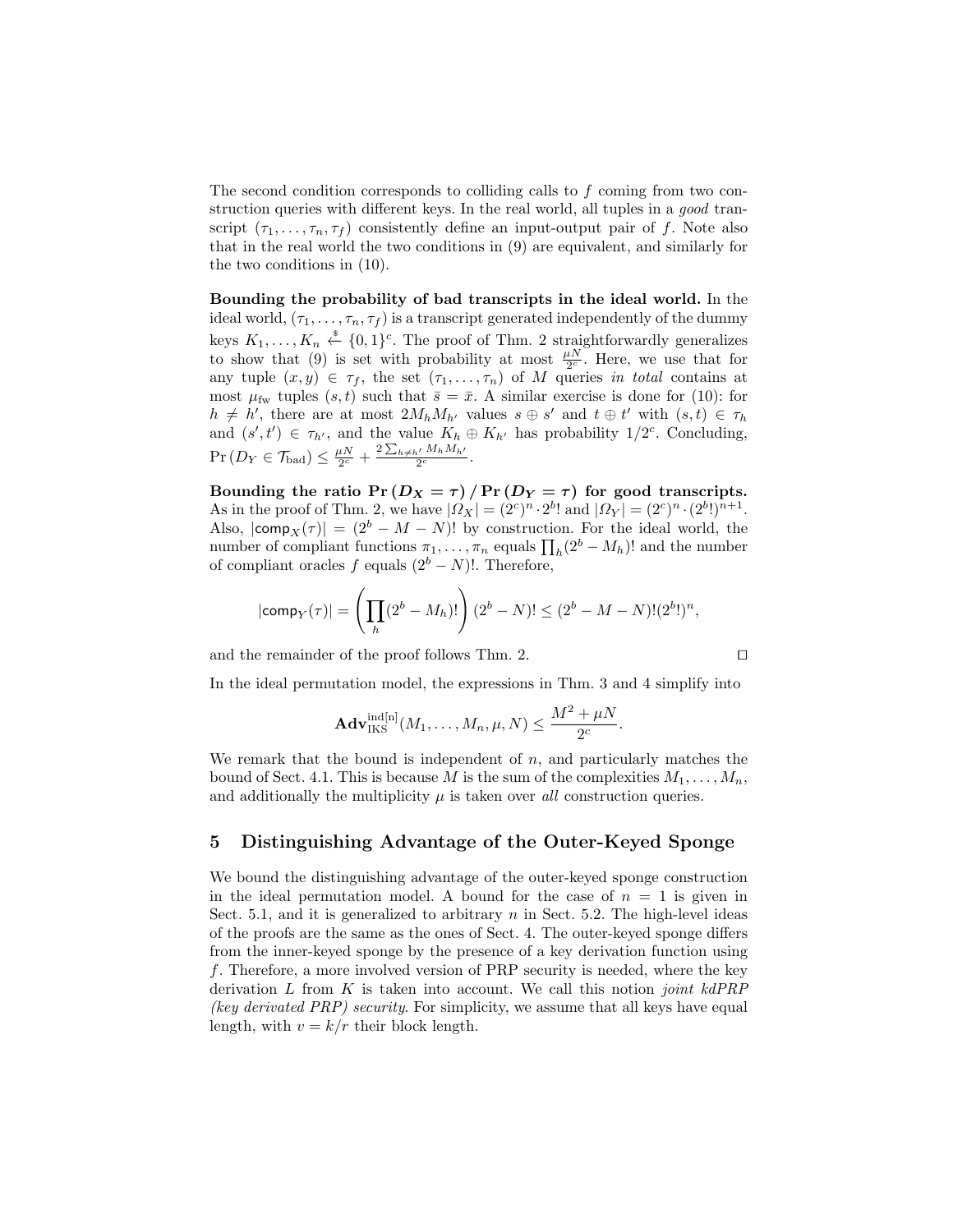The second condition corresponds to colliding calls to f coming from two construction queries with different keys. In the real world, all tuples in a good transcript  $(\tau_1, \ldots, \tau_n, \tau_f)$  consistently define an input-output pair of f. Note also that in the real world the two conditions in (9) are equivalent, and similarly for the two conditions in (10).

Bounding the probability of bad transcripts in the ideal world. In the ideal world,  $(\tau_1, \ldots, \tau_n, \tau_f)$  is a transcript generated independently of the dummy keys  $K_1, \ldots, K_n \stackrel{\hspace{0.1em}\mathsf{\scriptscriptstyle\$}}{\leftarrow} \{0,1\}^c$ . The proof of Thm. 2 straightforwardly generalizes to show that (9) is set with probability at most  $\frac{\mu N}{2^c}$ . Here, we use that for any tuple  $(x, y) \in \tau_f$ , the set  $(\tau_1, \ldots, \tau_n)$  of M queries in total contains at most  $\mu_{\text{fw}}$  tuples  $(s, t)$  such that  $\bar{s} = \bar{x}$ . A similar exercise is done for (10): for  $h \neq h'$ , there are at most  $2M_hM_{h'}$  values  $s \oplus s'$  and  $t \oplus t'$  with  $(s,t) \in \tau_h$ and  $(s', t') \in \tau_{h'}$ , and the value  $K_h \oplus K_{h'}$  has probability  $1/2^c$ . Concluding,  $\Pr(D_Y \in \mathcal{T}_{bad}) \leq \frac{\mu N}{2^c} + \frac{2 \sum_{h \neq h'} M_h M_{h'}}{2^c}.$ 

Bounding the ratio  $Pr(D_X = \tau) / Pr(D_Y = \tau)$  for good transcripts. As in the proof of Thm. 2, we have  $|\Omega_X| = (2^c)^n \cdot 2^b!$  and  $|\Omega_Y| = (2^c)^n \cdot (2^b!)^{n+1}$ . Also,  $|\text{comp}_X(\tau)| = (2^b - M - N)!$  by construction. For the ideal world, the number of compliant functions  $\pi_1, \ldots, \pi_n$  equals  $\prod_h (2^b - M_h)$ ! and the number of compliant oracles f equals  $(2<sup>b</sup> - N)!$ . Therefore,

$$
|\text{comp}_Y(\tau)| = \left(\prod_h (2^b - M_h)!\right) (2^b - N)! \leq (2^b - M - N)!(2^b!)^n
$$

and the remainder of the proof follows Thm. 2.

In the ideal permutation model, the expressions in Thm. 3 and 4 simplify into

$$
\mathbf{Adv}_{\mathrm{IKS}}^{\mathrm{ind[n]}}(M_1,\ldots,M_n,\mu,N) \le \frac{M^2 + \mu N}{2^c}
$$

We remark that the bound is independent of  $n$ , and particularly matches the bound of Sect. 4.1. This is because M is the sum of the complexities  $M_1, \ldots, M_n$ , and additionally the multiplicity  $\mu$  is taken over *all* construction queries.

# 5 Distinguishing Advantage of the Outer-Keyed Sponge

We bound the distinguishing advantage of the outer-keyed sponge construction in the ideal permutation model. A bound for the case of  $n = 1$  is given in Sect. 5.1, and it is generalized to arbitrary  $n$  in Sect. 5.2. The high-level ideas of the proofs are the same as the ones of Sect. 4. The outer-keyed sponge differs from the inner-keyed sponge by the presence of a key derivation function using f. Therefore, a more involved version of PRP security is needed, where the key derivation L from K is taken into account. We call this notion *joint*  $k\text{d}PRP$ (key derivated PRP) security. For simplicity, we assume that all keys have equal length, with  $v = k/r$  their block length.

$$
\Box
$$

.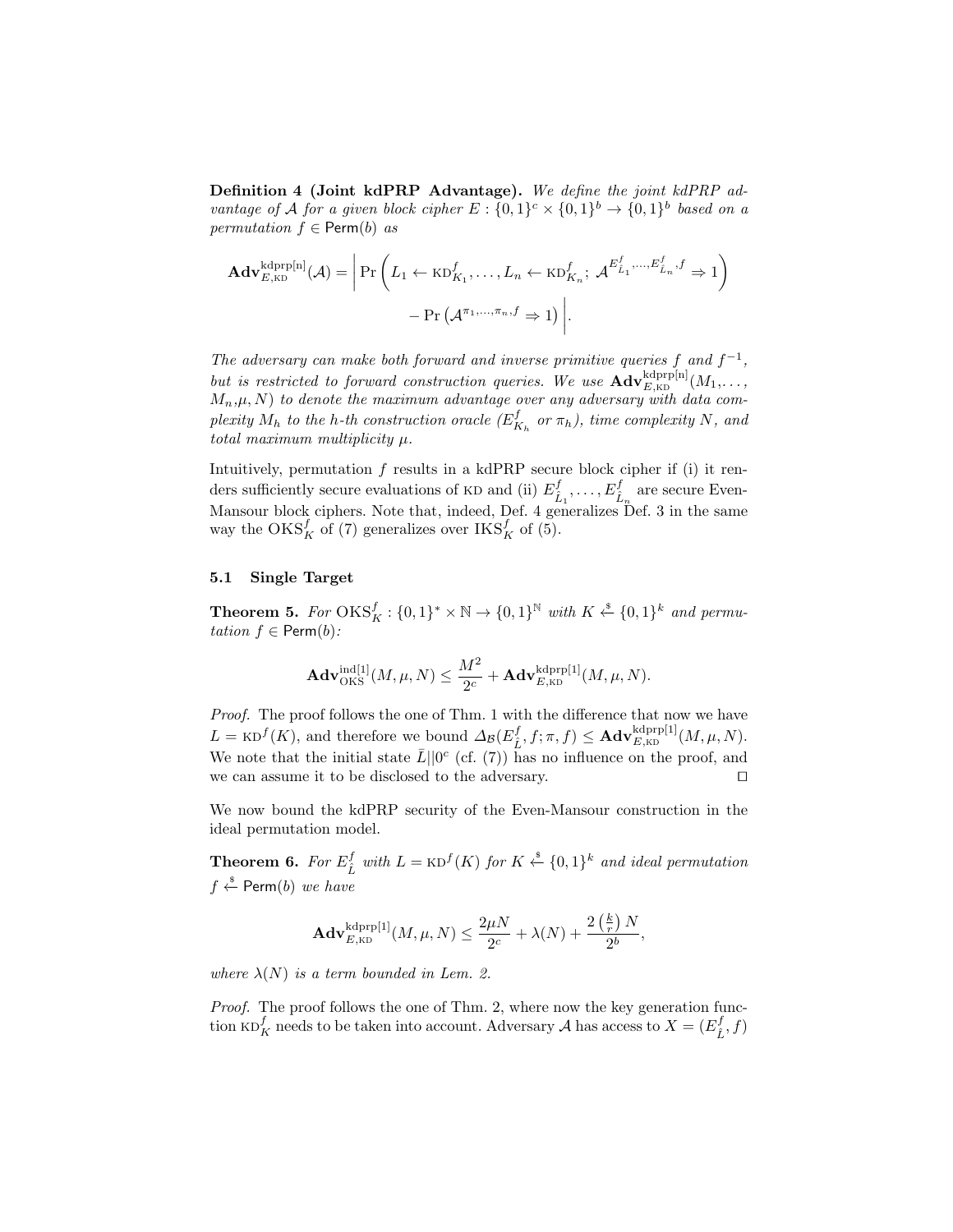Definition 4 (Joint kdPRP Advantage). We define the joint kdPRP advantage of A for a given block cipher  $E: \{0,1\}^c \times \{0,1\}^b \rightarrow \{0,1\}^b$  based on a permutation  $f \in \text{Perm}(b)$  as

$$
\mathbf{Adv}_{E,\text{KD}}^{\text{kdprp[n]}}(\mathcal{A}) = \left| \Pr \left( L_1 \leftarrow \text{KD}_{K_1}^f, \dots, L_n \leftarrow \text{KD}_{K_n}^f; \ \mathcal{A}^{E_{L_1}^f, \dots, E_{L_n}^f, f} \Rightarrow 1 \right) \right. \\ \left. \left. - \Pr \left( \mathcal{A}^{\pi_1, \dots, \pi_n, f} \Rightarrow 1 \right) \right|.
$$

The adversary can make both forward and inverse primitive queries f and  $f^{-1}$ , but is restricted to forward construction queries. We use  $\mathbf{Adv}_{E,\text{\tiny KD}}^{\text{kdprp[n]}}(M_1,\ldots, M_k)$  $(M_n,\mu,N)$  to denote the maximum advantage over any adversary with data complexity  $M_h$  to the h-th construction oracle  $(E_{K_h}^f$  or  $\pi_h)$ , time complexity N, and total maximum multiplicity  $\mu$ .

Intuitively, permutation  $f$  results in a kdPRP secure block cipher if (i) it renders sufficiently secure evaluations of KD and (ii)  $E_{\hat{L}_1}^f, \ldots, E_{\hat{L}_n}^f$  are secure Even-Mansour block ciphers. Note that, indeed, Def. 4 generalizes Def. 3 in the same way the OKS<sup> $f$ </sup><sub>K</sub> of (7) generalizes over IKS<sup> $f$ </sup><sub>K</sub> of (5).

### 5.1 Single Target

**Theorem 5.** For  $OKS_K^f : \{0,1\}^* \times \mathbb{N} \to \{0,1\}^{\mathbb{N}}$  with  $K \stackrel{\$}{\leftarrow} \{0,1\}^k$  and permutation  $f \in \text{Perm}(b)$ :

$$
\mathbf{Adv}_{\mathrm{OKS}}^{\mathrm{ind}[1]}(M,\mu,N) \leq \frac{M^2}{2^c} + \mathbf{Adv}_{E,\mathrm{KD}}^{\mathrm{kdprp}[1]}(M,\mu,N).
$$

Proof. The proof follows the one of Thm. 1 with the difference that now we have  $L = \text{KD}^f(K)$ , and therefore we bound  $\Delta_{\mathcal{B}}(E_{\hat{L}}^f, f; \pi, f) \leq \text{Adv}_{E,\text{KD}}^{\text{kdprpl1}}(M, \mu, N)$ . We note that the initial state  $\bar{L}||0^c$  (cf. (7)) has no influence on the proof, and we can assume it to be disclosed to the adversary.  $\Box$ 

We now bound the kdPRP security of the Even-Mansour construction in the ideal permutation model.

**Theorem 6.** For  $E_{\hat{L}}^f$  with  $L = \text{KD}^f(K)$  for  $K \overset{\$}{\leftarrow} \{0,1\}^k$  and ideal permutation  $f \overset{\$}{\leftarrow}$  Perm $(b)$  we have

$$
\mathbf{Adv}_{E,\mathrm{KD}}^{\mathrm{kdprp}[1]}(M,\mu,N) \leq \frac{2\mu N}{2^c} + \lambda(N) + \frac{2\left(\frac{k}{r}\right)N}{2^b},
$$

where  $\lambda(N)$  is a term bounded in Lem. 2.

Proof. The proof follows the one of Thm. 2, where now the key generation function  $\text{KD}_K^f$  needs to be taken into account. Adversary  $\mathcal A$  has access to  $X=(E_{\hat L}^f,f)$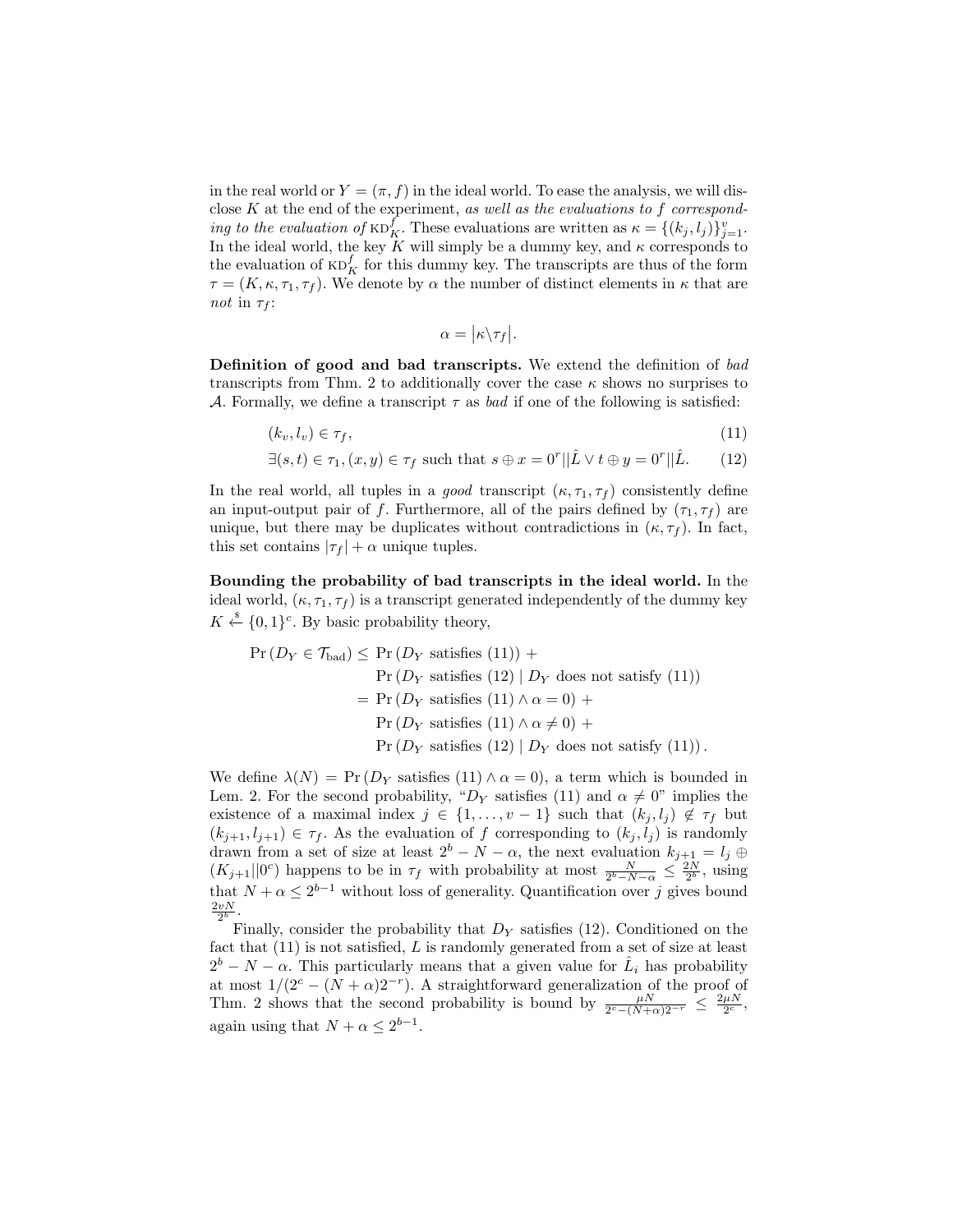in the real world or  $Y = (\pi, f)$  in the ideal world. To ease the analysis, we will disclose  $K$  at the end of the experiment, as well as the evaluations to  $f$  corresponding to the evaluation of  $\text{KD}_K^f$ . These evaluations are written as  $\kappa = \{(k_j, l_j)\}_{j=1}^v$ . In the ideal world, the key K will simply be a dummy key, and  $\kappa$  corresponds to the evaluation of  $\text{KD}_K^f$  for this dummy key. The transcripts are thus of the form  $\tau = (K, \kappa, \tau_1, \tau_f)$ . We denote by  $\alpha$  the number of distinct elements in  $\kappa$  that are not in  $\tau_f$ :

$$
\alpha = |\kappa \backslash \tau_f|.
$$

Definition of good and bad transcripts. We extend the definition of bad transcripts from Thm. 2 to additionally cover the case  $\kappa$  shows no surprises to A. Formally, we define a transcript  $\tau$  as bad if one of the following is satisfied:

$$
(k_v, l_v) \in \tau_f,\tag{11}
$$

$$
\exists (s,t) \in \tau_1, (x,y) \in \tau_f \text{ such that } s \oplus x = 0^r || \hat{L} \vee t \oplus y = 0^r || \hat{L}. \tag{12}
$$

In the real world, all tuples in a good transcript  $(\kappa, \tau_1, \tau_f)$  consistently define an input-output pair of f. Furthermore, all of the pairs defined by  $(\tau_1, \tau_f)$  are unique, but there may be duplicates without contradictions in  $(\kappa, \tau_f)$ . In fact, this set contains  $|\tau_f| + \alpha$  unique tuples.

Bounding the probability of bad transcripts in the ideal world. In the ideal world,  $(\kappa, \tau_1, \tau_f)$  is a transcript generated independently of the dummy key  $K \stackrel{\text{*}}{\leftarrow} \{0,1\}^c$ . By basic probability theory,

$$
\Pr(D_Y \in \mathcal{T}_{bad}) \leq \Pr(D_Y \text{ satisfies (11)}) +
$$
  
\n
$$
\Pr(D_Y \text{ satisfies (12)} | D_Y \text{ does not satisfy (11)})
$$
  
\n
$$
= \Pr(D_Y \text{ satisfies (11)} \land \alpha = 0) +
$$
  
\n
$$
\Pr(D_Y \text{ satisfies (11)} \land \alpha \neq 0) +
$$
  
\n
$$
\Pr(D_Y \text{ satisfies (12)} | D_Y \text{ does not satisfy (11)}).
$$

We define  $\lambda(N) = Pr(D_Y \text{ satisfies } (11) \wedge \alpha = 0)$ , a term which is bounded in Lem. 2. For the second probability, " $D_Y$  satisfies (11) and  $\alpha \neq 0$ " implies the existence of a maximal index  $j \in \{1, \ldots, v-1\}$  such that  $(k_i, l_i) \notin \tau_f$  but  $(k_{j+1}, l_{j+1}) \in \tau_f$ . As the evaluation of f corresponding to  $(k_j, l_j)$  is randomly drawn from a set of size at least  $2^b - N - \alpha$ , the next evaluation  $k_{j+1} = l_j \oplus$  $(K_{j+1}||0^c)$  happens to be in  $\tau_f$  with probability at most  $\frac{N}{2^b-N-\alpha} \leq \frac{2N}{2^b}$ , using that  $N + \alpha \leq 2^{b-1}$  without loss of generality. Quantification over j gives bound  $rac{2vN}{2^b}$ .

Finally, consider the probability that  $D<sub>Y</sub>$  satisfies (12). Conditioned on the fact that  $(11)$  is not satisfied, L is randomly generated from a set of size at least  $2^b - N - \alpha$ . This particularly means that a given value for  $\hat{L}_i$  has probability at most  $1/(2^c - (N + \alpha)2^{-r})$ . A straightforward generalization of the proof of Thm. 2 shows that the second probability is bound by  $\frac{\mu N}{2^c - (N+\alpha)2^{-r}} \leq \frac{2\mu N}{2^c}$ , again using that  $N + \alpha \leq 2^{b-1}$ .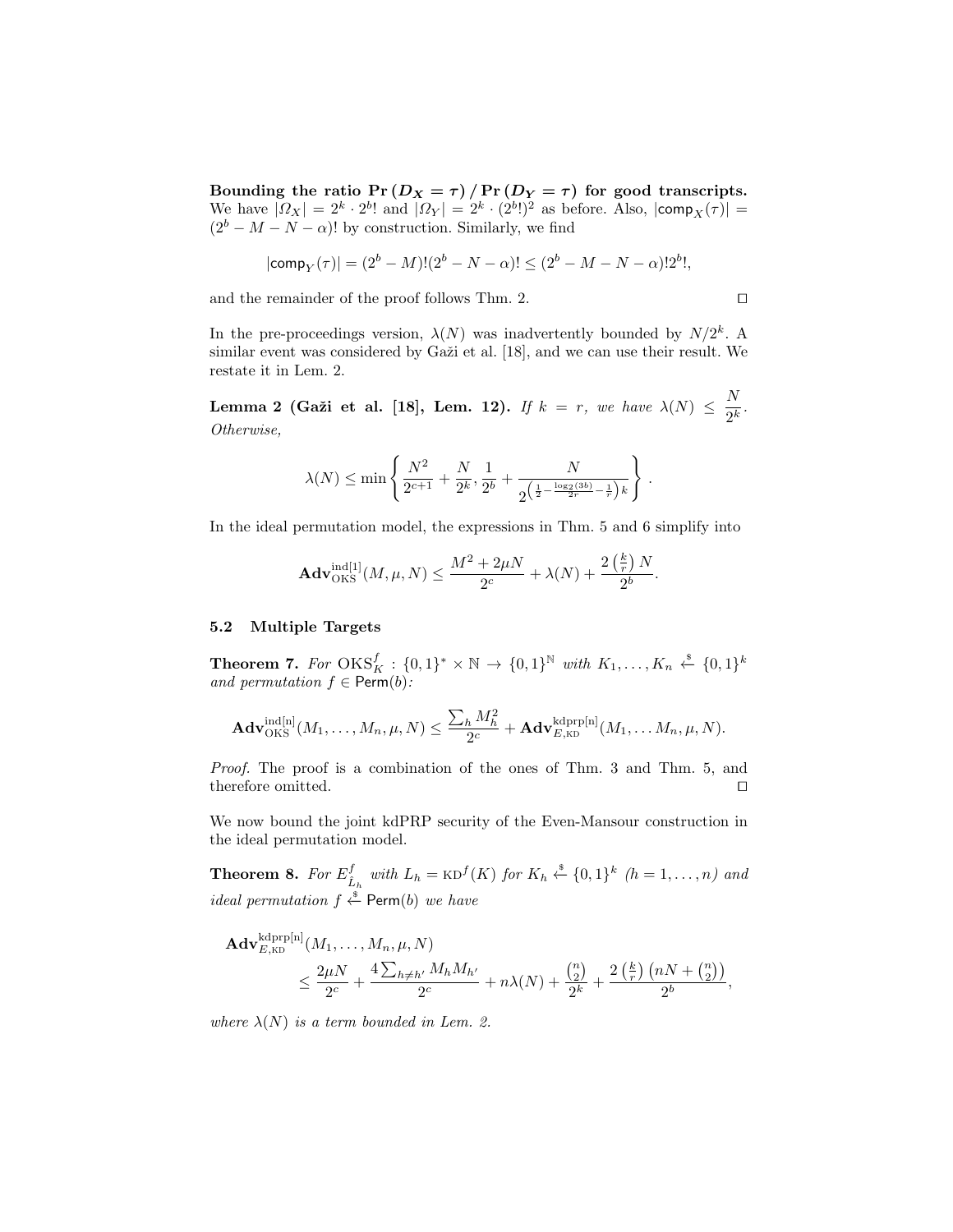Bounding the ratio  $Pr(D_X = \tau) / Pr(D_Y = \tau)$  for good transcripts. We have  $|\Omega_X| = 2^k \cdot 2^b!$  and  $|\Omega_Y| = 2^k \cdot (2^b!)^2$  as before. Also,  $|\text{comp}_X(\tau)| =$  $(2<sup>b</sup> - M - N - \alpha)!$  by construction. Similarly, we find

$$
|\text{comp}_Y(\tau)| = (2^b - M)!(2^b - N - \alpha)! \leq (2^b - M - N - \alpha)! 2^b!,
$$

and the remainder of the proof follows Thm. 2.

$$
\Box
$$

In the pre-proceedings version,  $\lambda(N)$  was inadvertently bounded by  $N/2^k$ . A similar event was considered by Gaži et al. [18], and we can use their result. We restate it in Lem. 2.

Lemma 2 (Gaži et al. [18], Lem. 12). If  $k = r$ , we have  $\lambda(N) \leq \frac{N}{2r}$  $\frac{1}{2^k}$ . Otherwise,

$$
\lambda(N) \le \min \left\{ \frac{N^2}{2^{c+1}} + \frac{N}{2^k}, \frac{1}{2^b} + \frac{N}{2^{\left(\frac{1}{2} - \frac{\log_2(3b)}{2r} - \frac{1}{r}\right)k}} \right\}.
$$

In the ideal permutation model, the expressions in Thm. 5 and 6 simplify into

$$
\mathbf{Adv}_{\mathrm{OKS}}^{\mathrm{ind}[1]}(M,\mu,N) \le \frac{M^2 + 2\mu N}{2^c} + \lambda(N) + \frac{2\left(\frac{k}{r}\right)N}{2^b}.
$$

### 5.2 Multiple Targets

**Theorem 7.** For  $OKS_K^f : \{0,1\}^* \times \mathbb{N} \to \{0,1\}^{\mathbb{N}}$  with  $K_1, \ldots, K_n \stackrel{\$}{\leftarrow} \{0,1\}^k$ and permutation  $f \in \text{Perm}(b)$ :

$$
\mathbf{Adv}_{\mathrm{OKS}}^{\mathrm{ind[n]}}(M_1,\ldots,M_n,\mu,N)\leq \frac{\sum_h M_h^2}{2^c}+\mathbf{Adv}_{E,\mathrm{KD}}^{\mathrm{kdprp[n]}}(M_1,\ldots,M_n,\mu,N).
$$

Proof. The proof is a combination of the ones of Thm. 3 and Thm. 5, and therefore omitted.  $\hfill\Box$ 

We now bound the joint kdPRP security of the Even-Mansour construction in the ideal permutation model.

**Theorem 8.** For  $E_{\hat{L}_h}^f$  with  $L_h = \text{KD}^f(K)$  for  $K_h \overset{\$}{\leftarrow} \{0,1\}^k$   $(h = 1, \ldots, n)$  and *ideal permutation*  $f \stackrel{\$}{\leftarrow}$  Perm(b) we have

$$
\mathbf{Adv}_{E,\text{KD}}^{\text{kdprp[n]}}(M_1, \ldots, M_n, \mu, N) \le \frac{2\mu N}{2^c} + \frac{4\sum_{h \neq h'} M_h M_{h'}}{2^c} + n\lambda(N) + \frac{\binom{n}{2}}{2^k} + \frac{2\left(\frac{k}{r}\right)\left(nN + \binom{n}{2}\right)}{2^b},
$$

where  $\lambda(N)$  is a term bounded in Lem. 2.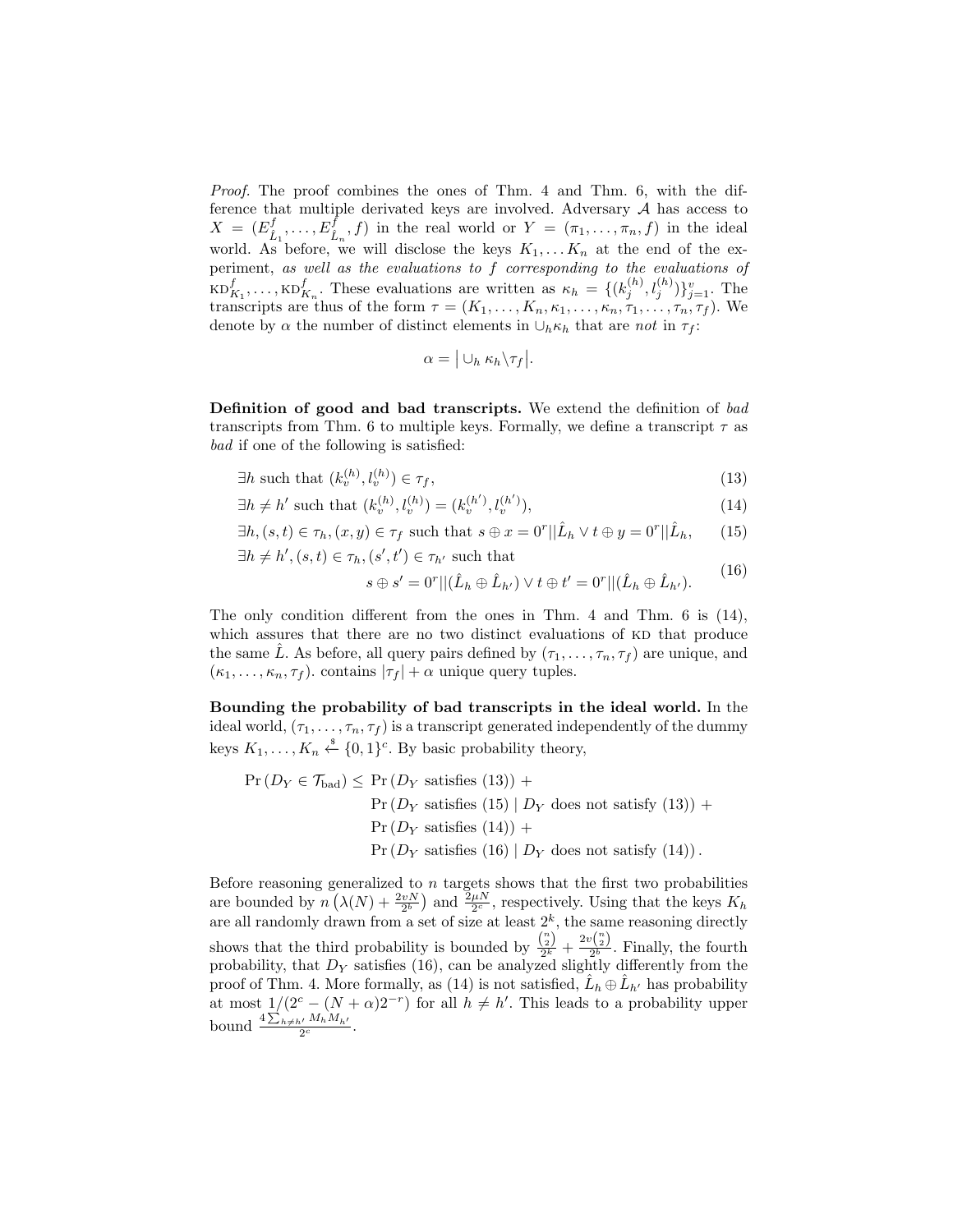Proof. The proof combines the ones of Thm. 4 and Thm. 6, with the difference that multiple derivated keys are involved. Adversary  $A$  has access to  $X = (E_{\hat{L}_1}^f, \ldots, E_{\hat{L}_n}^f, f)$  in the real world or  $Y = (\pi_1, \ldots, \pi_n, f)$  in the ideal world. As before, we will disclose the keys  $K_1, \ldots K_n$  at the end of the experiment, as well as the evaluations to f corresponding to the evaluations of  $KD_{K_1}^f, \ldots, KD_{K_n}^f$ . These evaluations are written as  $\kappa_h = \{(k_j^{(h)}, l_j^{(h)})\}_{j=1}^v$ . The transcripts are thus of the form  $\tau = (K_1, \ldots, K_n, \kappa_1, \ldots, \kappa_n, \tau_1, \ldots, \tau_n, \tau_f)$ . We denote by  $\alpha$  the number of distinct elements in  $\cup_h \kappa_h$  that are *not* in  $\tau_f$ :

$$
\alpha = |\cup_h \kappa_h \backslash \tau_f|.
$$

Definition of good and bad transcripts. We extend the definition of bad transcripts from Thm. 6 to multiple keys. Formally, we define a transcript  $\tau$  as bad if one of the following is satisfied:

$$
\exists h \text{ such that } (k_v^{(h)}, l_v^{(h)}) \in \tau_f,\tag{13}
$$

$$
\exists h \neq h' \text{ such that } (k_v^{(h)}, l_v^{(h)}) = (k_v^{(h')}, l_v^{(h')}), \tag{14}
$$

$$
\exists h, (s, t) \in \tau_h, (x, y) \in \tau_f \text{ such that } s \oplus x = 0^r || \hat{L}_h \vee t \oplus y = 0^r || \hat{L}_h,
$$
 (15)

$$
\exists h \neq h', (s, t) \in \tau_h, (s', t') \in \tau_{h'} \text{ such that}
$$
\n(16)

$$
s \oplus s' = 0^r || (\hat{L}_h \oplus \hat{L}_{h'}) \vee t \oplus t' = 0^r || (\hat{L}_h \oplus \hat{L}_{h'}).
$$

The only condition different from the ones in Thm. 4 and Thm. 6 is  $(14)$ , which assures that there are no two distinct evaluations of KD that produce the same L<sup> $\tilde{L}$ </sup>. As before, all query pairs defined by  $(\tau_1, \ldots, \tau_n, \tau_f)$  are unique, and  $(\kappa_1, \ldots, \kappa_n, \tau_f)$ . contains  $|\tau_f| + \alpha$  unique query tuples.

Bounding the probability of bad transcripts in the ideal world. In the ideal world,  $(\tau_1, \ldots, \tau_n, \tau_f)$  is a transcript generated independently of the dummy keys  $K_1, \ldots, K_n \stackrel{\hspace{1pt}\mathsf{\scriptscriptstyle\$}}{\leftarrow} \{0,1\}^c$ . By basic probability theory,

$$
\Pr(D_Y \in \mathcal{T}_{bad}) \le \Pr(D_Y \text{ satisfies } (13)) +
$$

$$
\Pr(D_Y \text{ satisfies } (15) | D_Y \text{ does not satisfy } (13)) +
$$

$$
\Pr(D_Y \text{ satisfies } (14)) +
$$

$$
\Pr(D_Y \text{ satisfies } (16) | D_Y \text{ does not satisfy } (14)).
$$

Before reasoning generalized to  $n$  targets shows that the first two probabilities are bounded by  $n\left(\lambda(N) + \frac{2vN}{2^b}\right)$  and  $\frac{2\mu N}{2^c}$ , respectively. Using that the keys  $K_h$ are all randomly drawn from a set of size at least  $2<sup>k</sup>$ , the same reasoning directly shows that the third probability is bounded by  $\frac{\binom{n}{2}}{2^k} + \frac{2v\binom{n}{2}}{2^b}$ . Finally, the fourth probability, that  $D<sub>Y</sub>$  satisfies (16), can be analyzed slightly differently from the proof of Thm. 4. More formally, as (14) is not satisfied,  $\hat{L}_h \oplus \hat{L}_{h'}$  has probability at most  $1/(2^c - (N + \alpha)2^{-r})$  for all  $h \neq h'$ . This leads to a probability upper bound  $\frac{4\sum_{h\neq h'}M_hM_{h'}}{2^c}$ .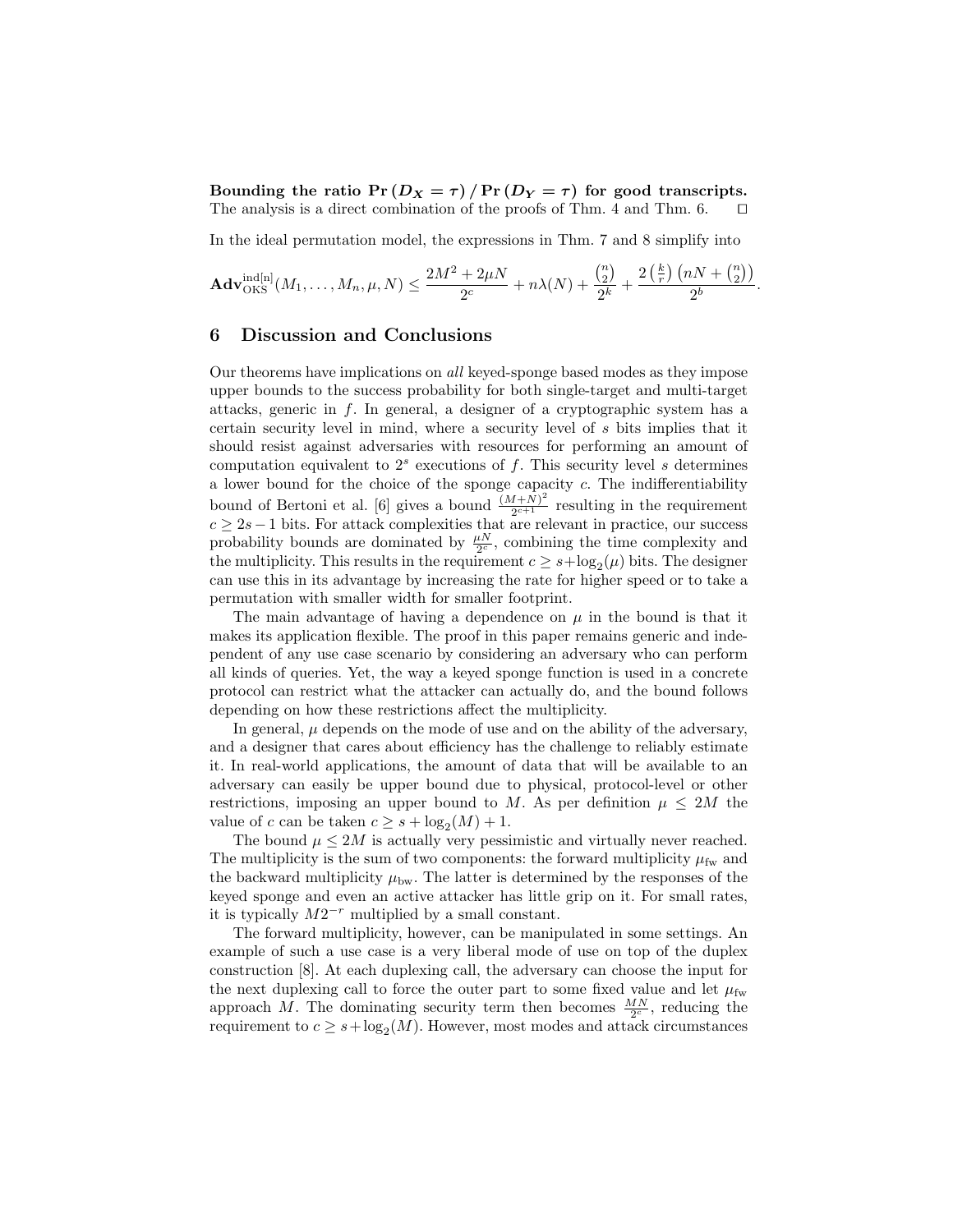Bounding the ratio  $Pr(D_X = \tau) / Pr(D_Y = \tau)$  for good transcripts. The analysis is a direct combination of the proofs of Thm. 4 and Thm. 6.  $\Box$ 

In the ideal permutation model, the expressions in Thm. 7 and 8 simplify into

$$
\mathbf{Adv}_{\mathrm{OKS}}^{\mathrm{ind}[n]}(M_1,\ldots,M_n,\mu,N) \leq \frac{2M^2 + 2\mu N}{2^c} + n\lambda(N) + \frac{\binom{n}{2}}{2^k} + \frac{2\left(\frac{k}{r}\right)\left(nN + \binom{n}{2}\right)}{2^b}.
$$

# 6 Discussion and Conclusions

Our theorems have implications on all keyed-sponge based modes as they impose upper bounds to the success probability for both single-target and multi-target attacks, generic in f. In general, a designer of a cryptographic system has a certain security level in mind, where a security level of s bits implies that it should resist against adversaries with resources for performing an amount of computation equivalent to  $2<sup>s</sup>$  executions of f. This security level s determines a lower bound for the choice of the sponge capacity  $c$ . The indifferentiability bound of Bertoni et al. [6] gives a bound  $\frac{(M+N)^2}{2c+1}$  $\frac{q+1}{2^{c+1}}$  resulting in the requirement  $c \geq 2s-1$  bits. For attack complexities that are relevant in practice, our success probability bounds are dominated by  $\frac{\mu N}{2^c}$ , combining the time complexity and the multiplicity. This results in the requirement  $c \geq s + \log_2(\mu)$  bits. The designer can use this in its advantage by increasing the rate for higher speed or to take a permutation with smaller width for smaller footprint.

The main advantage of having a dependence on  $\mu$  in the bound is that it makes its application flexible. The proof in this paper remains generic and independent of any use case scenario by considering an adversary who can perform all kinds of queries. Yet, the way a keyed sponge function is used in a concrete protocol can restrict what the attacker can actually do, and the bound follows depending on how these restrictions affect the multiplicity.

In general,  $\mu$  depends on the mode of use and on the ability of the adversary, and a designer that cares about efficiency has the challenge to reliably estimate it. In real-world applications, the amount of data that will be available to an adversary can easily be upper bound due to physical, protocol-level or other restrictions, imposing an upper bound to M. As per definition  $\mu \leq 2M$  the value of c can be taken  $c \geq s + \log_2(M) + 1$ .

The bound  $\mu \leq 2M$  is actually very pessimistic and virtually never reached. The multiplicity is the sum of two components: the forward multiplicity  $\mu_{fw}$  and the backward multiplicity  $\mu_{\text{bw}}$ . The latter is determined by the responses of the keyed sponge and even an active attacker has little grip on it. For small rates, it is typically  $M2^{-r}$  multiplied by a small constant.

The forward multiplicity, however, can be manipulated in some settings. An example of such a use case is a very liberal mode of use on top of the duplex construction [8]. At each duplexing call, the adversary can choose the input for the next duplexing call to force the outer part to some fixed value and let  $\mu_{fw}$ approach M. The dominating security term then becomes  $\frac{MN}{2^c}$ , reducing the requirement to  $c \geq s + \log_2(M)$ . However, most modes and attack circumstances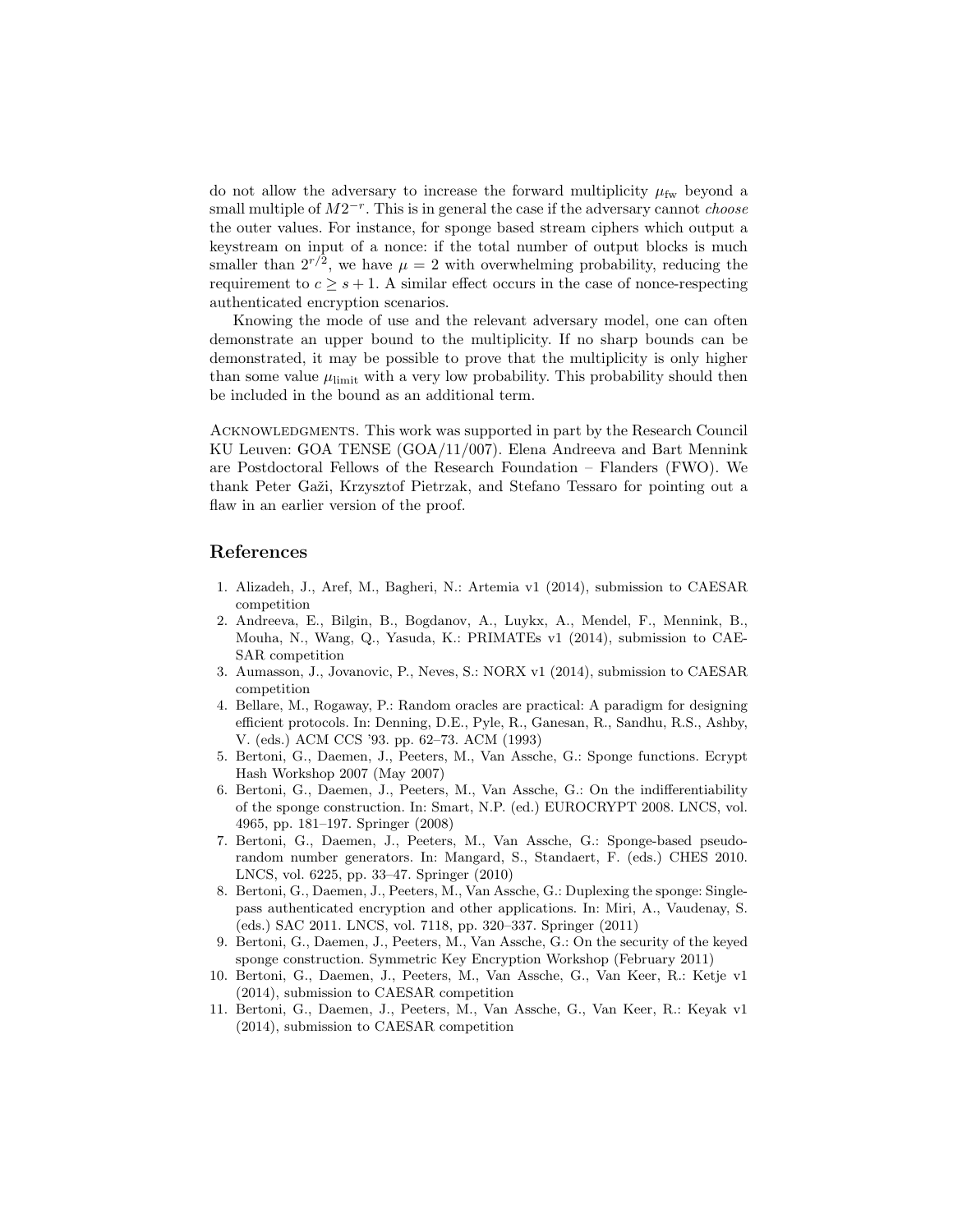do not allow the adversary to increase the forward multiplicity  $\mu_{fw}$  beyond a small multiple of  $M2^{-r}$ . This is in general the case if the adversary cannot *choose* the outer values. For instance, for sponge based stream ciphers which output a keystream on input of a nonce: if the total number of output blocks is much smaller than  $2^{r/2}$ , we have  $\mu = 2$  with overwhelming probability, reducing the requirement to  $c \geq s+1$ . A similar effect occurs in the case of nonce-respecting authenticated encryption scenarios.

Knowing the mode of use and the relevant adversary model, one can often demonstrate an upper bound to the multiplicity. If no sharp bounds can be demonstrated, it may be possible to prove that the multiplicity is only higher than some value  $\mu_{\text{limit}}$  with a very low probability. This probability should then be included in the bound as an additional term.

Acknowledgments. This work was supported in part by the Research Council KU Leuven: GOA TENSE (GOA/11/007). Elena Andreeva and Bart Mennink are Postdoctoral Fellows of the Research Foundation – Flanders (FWO). We thank Peter Gaži, Krzysztof Pietrzak, and Stefano Tessaro for pointing out a flaw in an earlier version of the proof.

# References

- 1. Alizadeh, J., Aref, M., Bagheri, N.: Artemia v1 (2014), submission to CAESAR competition
- 2. Andreeva, E., Bilgin, B., Bogdanov, A., Luykx, A., Mendel, F., Mennink, B., Mouha, N., Wang, Q., Yasuda, K.: PRIMATEs v1 (2014), submission to CAE-SAR competition
- 3. Aumasson, J., Jovanovic, P., Neves, S.: NORX v1 (2014), submission to CAESAR competition
- 4. Bellare, M., Rogaway, P.: Random oracles are practical: A paradigm for designing efficient protocols. In: Denning, D.E., Pyle, R., Ganesan, R., Sandhu, R.S., Ashby, V. (eds.) ACM CCS '93. pp. 62–73. ACM (1993)
- 5. Bertoni, G., Daemen, J., Peeters, M., Van Assche, G.: Sponge functions. Ecrypt Hash Workshop 2007 (May 2007)
- 6. Bertoni, G., Daemen, J., Peeters, M., Van Assche, G.: On the indifferentiability of the sponge construction. In: Smart, N.P. (ed.) EUROCRYPT 2008. LNCS, vol. 4965, pp. 181–197. Springer (2008)
- 7. Bertoni, G., Daemen, J., Peeters, M., Van Assche, G.: Sponge-based pseudorandom number generators. In: Mangard, S., Standaert, F. (eds.) CHES 2010. LNCS, vol. 6225, pp. 33–47. Springer (2010)
- 8. Bertoni, G., Daemen, J., Peeters, M., Van Assche, G.: Duplexing the sponge: Singlepass authenticated encryption and other applications. In: Miri, A., Vaudenay, S. (eds.) SAC 2011. LNCS, vol. 7118, pp. 320–337. Springer (2011)
- 9. Bertoni, G., Daemen, J., Peeters, M., Van Assche, G.: On the security of the keyed sponge construction. Symmetric Key Encryption Workshop (February 2011)
- 10. Bertoni, G., Daemen, J., Peeters, M., Van Assche, G., Van Keer, R.: Ketje v1 (2014), submission to CAESAR competition
- 11. Bertoni, G., Daemen, J., Peeters, M., Van Assche, G., Van Keer, R.: Keyak v1 (2014), submission to CAESAR competition